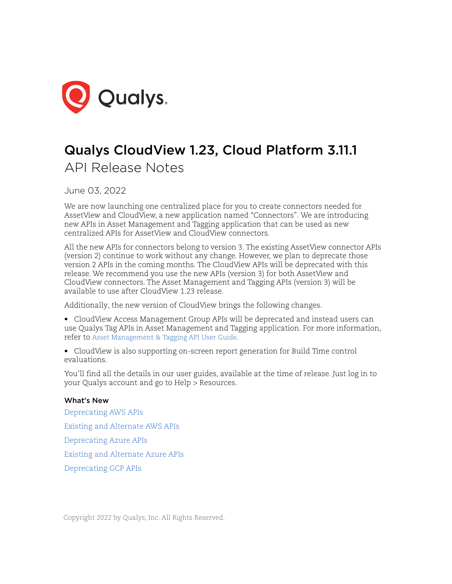

# Qualys CloudView 1.23, Cloud Platform 3.11.1 API Release Notes

June 03, 2022

We are now launching one centralized place for you to create connectors needed for AssetView and CloudView, a new application named "Connectors". We are introducing new APIs in Asset Management and Tagging application that can be used as new centralized APIs for AssetView and CloudView connectors.

All the new APIs for connectors belong to version 3. The existing AssetView connector APIs (version 2) continue to work without any change. However, we plan to deprecate those version 2 APIs in the coming months. The CloudView APIs will be deprecated with this release. We recommend you use the new APIs (version 3) for both AssetView and CloudView connectors. The Asset Management and Tagging APIs (version 3) will be available to use after CloudView 1.23 release.

Additionally, the new version of CloudView brings the following changes.

- CloudView Access Management Group APIs will be deprecated and instead users can use Qualys Tag APIs in Asset Management and Tagging application. For more information, refer t[o Asset Management & Tagging API User Guide.](https://www.qualys.com/docs/qualys-asset-management-tagging-api-v2-user-guide.pdf#page=24)
- CloudView is also supporting on-screen report generation for Build Time control evaluations.

You'll find all the details in our user guides, available at the time of release. Just log in to your Qualys account and go to Help > Resources.

### What's New

[Deprecating AWS APIs](#page-2-0) [Existing and Alternate AWS APIs](#page-3-0) [Deprecating Azure APIs](#page-17-0) [Existing and Alternate Azure APIs](#page-18-0) [Deprecating GCP APIs](#page-31-0)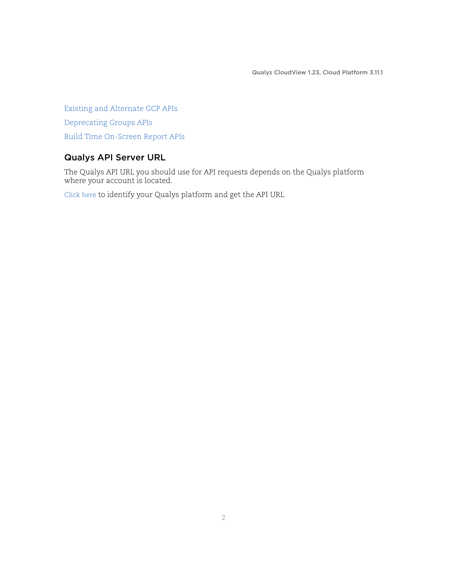[Existing and Alternate GCP APIs](#page-32-0) [Deprecating Groups APIs](#page-42-0) [Build Time On-Screen Report APIs](#page-44-0)

## Qualys API Server URL

The Qualys API URL you should use for API requests depends on the Qualys platform where your account is located.

[Click here t](https://www.qualys.com/platform-identification/)o identify your Qualys platform and get the API URL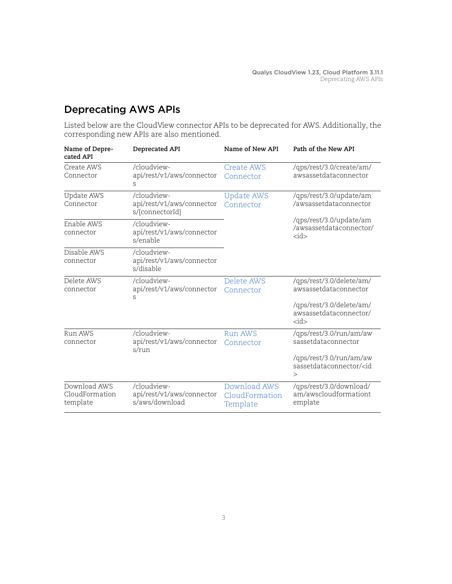# <span id="page-2-0"></span>Deprecating AWS APIs

Listed below are the CloudView connector APIs to be deprecated for AWS. Additionally, the corresponding new APIs are also mentioned.

| Name of Depre-<br>cated API                | Deprecated API                                              | Name of New API                            | Path of the New API                                                 |
|--------------------------------------------|-------------------------------------------------------------|--------------------------------------------|---------------------------------------------------------------------|
| Create AWS<br>Connector                    | /cloudview-<br>api/rest/v1/aws/connector<br>S               | Create AWS<br>Connector                    | /qps/rest/3.0/create/am/<br>awsassetdataconnector                   |
| Update AWS<br>Connector                    | /cloudview-<br>api/rest/v1/aws/connector<br>s/{connectorId} | <b>Update AWS</b><br>Connector             | /qps/rest/3.0/update/am<br>/awsassetdataconnector                   |
| Enable AWS<br>connector                    | /cloudview-<br>api/rest/v1/aws/connector<br>s/enable        |                                            | /qps/rest/3.0/update/am<br>/awsassetdataconnector/<br>$<$ id $>$    |
| Disable AWS<br>connector                   | /cloudview-<br>api/rest/v1/aws/connector<br>s/disable       |                                            |                                                                     |
| Delete AWS<br>connector                    | /cloudview-<br>api/rest/v1/aws/connector<br>S               | Delete AWS<br>Connector                    | /qps/rest/3.0/delete/am/<br>awsassetdataconnector                   |
|                                            |                                                             |                                            | /qps/rest/3.0/delete/am/<br>awsassetdataconnector/<br>$<$ id $>$    |
| Run AWS<br>connector                       | /cloudview-<br>api/rest/v1/aws/connector<br>s/run           | <b>Run AWS</b><br>Connector                | /qps/rest/3.0/run/am/aw<br>sassetdataconnector                      |
|                                            |                                                             |                                            | /qps/rest/3.0/run/am/aw<br>sassetdataconnector/ <id<br>&gt;</id<br> |
| Download AWS<br>CloudFormation<br>template | /cloudview-<br>api/rest/v1/aws/connector<br>s/aws/download  | Download AWS<br>CloudFormation<br>Template | /qps/rest/3.0/download/<br>am/awscloudformationt<br>emplate         |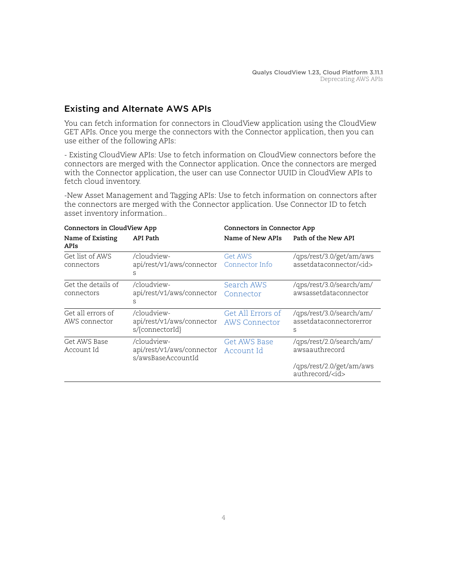# <span id="page-3-0"></span>Existing and Alternate AWS APIs

You can fetch information for connectors in CloudView application using the CloudView GET APIs. Once you merge the connectors with the Connector application, then you can use either of the following APIs:

- Existing CloudView APIs: Use to fetch information on CloudView connectors before the connectors are merged with the Connector application. Once the connectors are merged with the Connector application, the user can use Connector UUID in CloudView APIs to fetch cloud inventory.

-New Asset Management and Tagging APIs: Use to fetch information on connectors after the connectors are merged with the Connector application. Use Connector ID to fetch asset inventory information..

| Connectors in CloudView App        |                                                                | Connectors in Connector App               |                                                           |
|------------------------------------|----------------------------------------------------------------|-------------------------------------------|-----------------------------------------------------------|
| Name of Existing<br>APIs           | API Path                                                       | Name of New APIs                          | Path of the New API                                       |
| Get list of AWS<br>connectors      | /cloudview-<br>api/rest/v1/aws/connector<br>S                  | <b>Get AWS</b><br>Connector Info          | /qps/rest/3.0/get/am/aws<br>assetdataconnector/ <id></id> |
| Get the details of<br>connectors   | /cloudview-<br>api/rest/v1/aws/connector<br>S                  | Search AWS<br>Connector                   | /qps/rest/3.0/search/am/<br>awsassetdataconnector         |
| Get all errors of<br>AWS connector | /cloudview-<br>api/rest/v1/aws/connector<br>s/{connectorId}    | Get All Errors of<br><b>AWS Connector</b> | /qps/rest/3.0/search/am/<br>assetdataconnectorerror<br>S  |
| Get AWS Base<br>Account Id         | /cloudview-<br>api/rest/v1/aws/connector<br>s/awsBaseAccountId | Get AWS Base<br>Account Id                | /qps/rest/2.0/search/am/<br>awsaauthrecord                |
|                                    |                                                                |                                           | /qps/rest/2.0/get/am/aws<br>authrecord/ <id></id>         |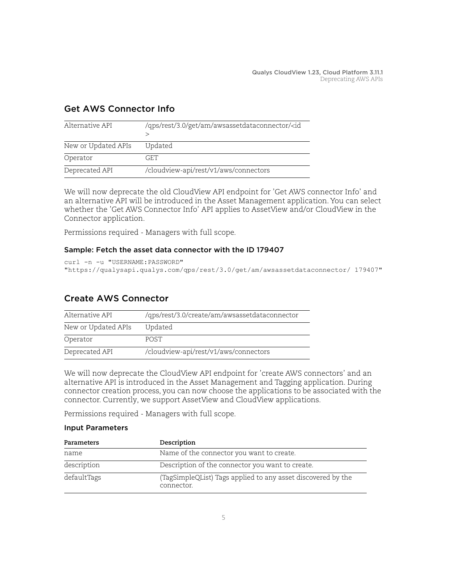| Alternative API     | /qps/rest/3.0/get/am/awsassetdataconnector/ <id< th=""></id<> |
|---------------------|---------------------------------------------------------------|
| New or Updated APIs | Updated                                                       |
| Operator            | GET.                                                          |
| Deprecated API      | /cloudview-api/rest/v1/aws/connectors                         |

# <span id="page-4-1"></span>Get AWS Connector Info

We will now deprecate the old CloudView API endpoint for 'Get AWS connector Info' and an alternative API will be introduced in the Asset Management application. You can select whether the 'Get AWS Connector Info' API applies to AssetView and/or CloudView in the Connector application.

Permissions required - Managers with full scope.

### Sample: Fetch the asset data connector with the ID 179407

```
curl -n -u "USERNAME:PASSWORD" 
"https://qualysapi.qualys.com/qps/rest/3.0/get/am/awsassetdataconnector/ 179407"
```
### <span id="page-4-0"></span>Create AWS Connector

| Alternative API     | /qps/rest/3.0/create/am/awsassetdataconnector |
|---------------------|-----------------------------------------------|
| New or Updated APIs | Updated                                       |
| Operator            | <b>POST</b>                                   |
| Deprecated API      | /cloudview-api/rest/v1/aws/connectors         |

We will now deprecate the CloudView API endpoint for 'create AWS connectors' and an alternative API is introduced in the Asset Management and Tagging application. During connector creation process, you can now choose the applications to be associated with the connector. Currently, we support AssetView and CloudView applications.

Permissions required - Managers with full scope.

### Input Parameters

| Parameters  | Description                                                                |
|-------------|----------------------------------------------------------------------------|
| name        | Name of the connector you want to create.                                  |
| description | Description of the connector you want to create.                           |
| defaultTags | (TagSimpleQList) Tags applied to any asset discovered by the<br>connector. |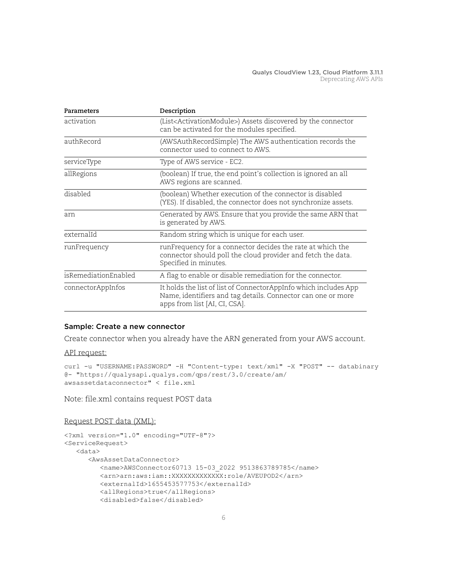| Parameters           | Description                                                                                                                                                       |
|----------------------|-------------------------------------------------------------------------------------------------------------------------------------------------------------------|
| activation           | (List <activationmodule>) Assets discovered by the connector<br/>can be activated for the modules specified.</activationmodule>                                   |
| authRecord           | (AWSAuthRecordSimple) The AWS authentication records the<br>connector used to connect to AWS.                                                                     |
| serviceType          | Type of AWS service - EC2.                                                                                                                                        |
| allRegions           | (boolean) If true, the end point's collection is ignored an all<br>AWS regions are scanned.                                                                       |
| disabled             | (boolean) Whether execution of the connector is disabled<br>(YES). If disabled, the connector does not synchronize assets.                                        |
| am                   | Generated by AWS. Ensure that you provide the same ARN that<br>is generated by AWS.                                                                               |
| externalId           | Random string which is unique for each user.                                                                                                                      |
| runFrequency         | runFrequency for a connector decides the rate at which the<br>connector should poll the cloud provider and fetch the data.<br>Specified in minutes.               |
| isRemediationEnabled | A flag to enable or disable remediation for the connector.                                                                                                        |
| connectorAppInfos    | It holds the list of list of ConnectorAppInfo which includes App<br>Name, identifiers and tag details. Connector can one or more<br>apps from list [AI, CI, CSA]. |

### Sample: Create a new connector

Create connector when you already have the ARN generated from your AWS account.

#### API request:

```
curl -u "USERNAME:PASSWORD" -H "Content-type: text/xml" -X "POST" -- databinary
@- "https://qualysapi.qualys.com/qps/rest/3.0/create/am/
awsassetdataconnector" < file.xml
```
Note: file.xml contains request POST data

### Request POST data (XML):

```
<?xml version="1.0" encoding="UTF-8"?>
<ServiceRequest>
    <data>
       <AwsAssetDataConnector>
          <name>AWSConnector60713 15-03_2022 9513863789785</name>
          <arn>arn:aws:iam::XXXXXXXXXXXXX:role/AVEUPOD2</arn>
          <externalId>1655453577753</externalId>
          <allRegions>true</allRegions>
          <disabled>false</disabled>
```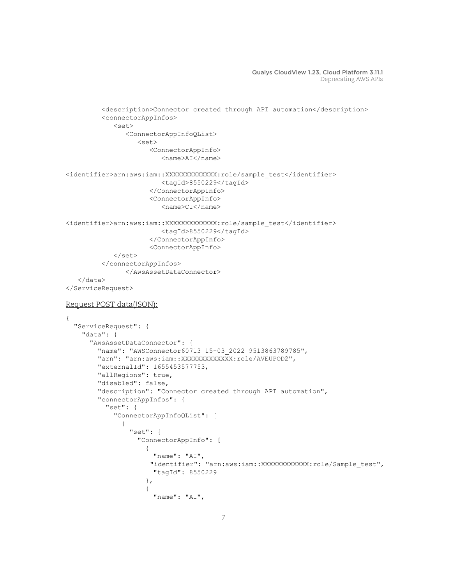```
 <description>Connector created through API automation</description>
           <connectorAppInfos>
              <set>
                  <ConnectorAppInfoQList>
                     <set>
                        <ConnectorAppInfo>
                            <name>AI</name>
<identifier>arn:aws:iam::XXXXXXXXXXXXX:role/sample_test</identifier>
                            <tagId>8550229</tagId>
                        </ConnectorAppInfo>
                        <ConnectorAppInfo>
                            <name>CI</name>
<identifier>arn:aws:iam::XXXXXXXXXXXXX:role/sample_test</identifier>
                            <tagId>8550229</tagId>
                        </ConnectorAppInfo>
                        <ConnectorAppInfo>
              </set>
           </connectorAppInfos>
                 </AwsAssetDataConnector>
    </data>
</ServiceRequest>
Request POST data(JSON):
{
   "ServiceRequest": {
     "data": {
       "AwsAssetDataConnector": {
          "name": "AWSConnector60713 15-03_2022 9513863789785",
         "arn": "arn:aws:iam::XXXXXXXXXXXXX:role/AVEUPOD2",
          "externalId": 1655453577753,
          "allRegions": true,
          "disabled": false,
          "description": "Connector created through API automation",
          "connectorAppInfos": {
            "set": {
              "ConnectorAppInfoQList": [
\{ "set": {
                     "ConnectorAppInfo": [
{
                         "name": "AI",
                        "identifier": "arn:aws:iam::XXXXXXXXXXXX:role/Sample_test",
                         "tagId": 8550229
\}, \}, \}, \}, \}, \}, \}, \}, \}, \}, \}, \}, \}, \}, \}, \}, \}, \}, \}, \}, \}, \}, \}, \}, \}, \}, \}, \}, \}, \}, \}, \}, \}, \}, \}, \}, \},
{
                          "name": "AI",
```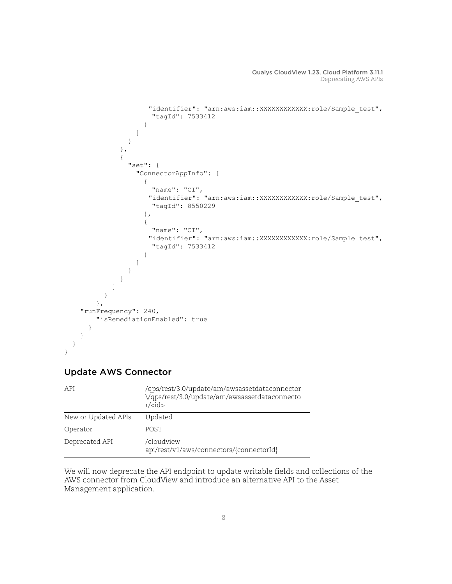```
"identifier": "arn:aws:iam::XXXXXXXXXXXX:role/Sample_test",
                      "tagId": 7533412
 }
 ]
 }
              },
 {
                "set": {
                  "ConnectorAppInfo": [
{
                      "name": "CI",
                    "identifier": "arn:aws:iam::XXXXXXXXXXXX:role/Sample_test",
                      "tagId": 8550229
\}, \}, \}, \}, \}, \}, \}, \}, \}, \}, \}, \}, \}, \}, \}, \}, \}, \}, \}, \}, \}, \}, \}, \}, \{, \}, \{, \}, \{, \}, \{, \}, \{, \}, \{, \}, \{,
{
                      "name": "CI",
                    "identifier": "arn:aws:iam::XXXXXXXXXXXX:role/Sample_test",
                      "tagId": 7533412
 }
 ]
 }
 }
 ]
 }
        },
    "runFrequency": 240,
        "isRemediationEnabled": true
      }
    }
   }
}
```
# <span id="page-7-0"></span>Update AWS Connector

| API                 | /qps/rest/3.0/update/am/awsassetdataconnector<br>Vqps/rest/3.0/update/am/awsassetdataconnecto<br>$r$ / <id></id> |
|---------------------|------------------------------------------------------------------------------------------------------------------|
| New or Updated APIs | Updated                                                                                                          |
| Operator            | <b>POST</b>                                                                                                      |
| Deprecated API      | /cloudview-<br>api/rest/v1/aws/connectors/{connectorId}                                                          |

We will now deprecate the API endpoint to update writable fields and collections of the AWS connector from CloudView and introduce an alternative API to the Asset Management application.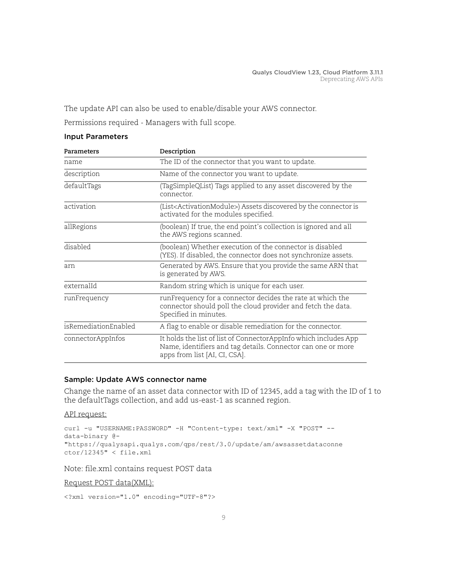The update API can also be used to enable/disable your AWS connector.

Permissions required - Managers with full scope.

### Input Parameters

| Parameters           | Description                                                                                                                                                       |
|----------------------|-------------------------------------------------------------------------------------------------------------------------------------------------------------------|
| name                 | The ID of the connector that you want to update.                                                                                                                  |
| description          | Name of the connector you want to update.                                                                                                                         |
| defaultTags          | (TagSimpleQList) Tags applied to any asset discovered by the<br>connector                                                                                         |
| activation           | (List <activationmodule>) Assets discovered by the connector is<br/>activated for the modules specified.</activationmodule>                                       |
| allRegions           | (boolean) If true, the end point's collection is ignored and all<br>the AWS regions scanned.                                                                      |
| disabled             | (boolean) Whether execution of the connector is disabled<br>(YES). If disabled, the connector does not synchronize assets.                                        |
| arn                  | Generated by AWS. Ensure that you provide the same ARN that<br>is generated by AWS.                                                                               |
| externalId           | Random string which is unique for each user.                                                                                                                      |
| runFrequency         | runFrequency for a connector decides the rate at which the<br>connector should poll the cloud provider and fetch the data.<br>Specified in minutes.               |
| isRemediationEnabled | A flag to enable or disable remediation for the connector.                                                                                                        |
| connectorAppInfos    | It holds the list of list of ConnectorAppInfo which includes App<br>Name, identifiers and tag details. Connector can one or more<br>apps from list [AI, CI, CSA]. |

### Sample: Update AWS connector name

Change the name of an asset data connector with ID of 12345, add a tag with the ID of 1 to the defaultTags collection, and add us-east-1 as scanned region.

API request:

```
curl -u "USERNAME:PASSWORD" -H "Content-type: text/xml" -X "POST" --
data-binary @-
"https://qualysapi.qualys.com/qps/rest/3.0/update/am/awsassetdataconne
ctor/12345" < file.xml
```
Note: file.xml contains request POST data

Request POST data(XML):

```
<?xml version="1.0" encoding="UTF-8"?>
```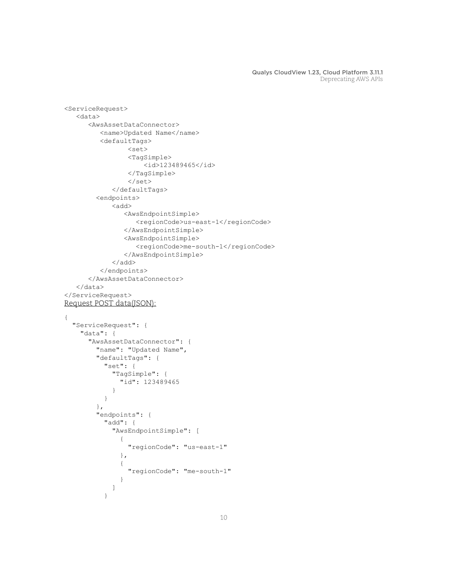```
<ServiceRequest>
    <data>
       <AwsAssetDataConnector>
          <name>Updated Name</name>
          <defaultTags>
                 <set>
                 <TagSimple>
                     <id>123489465</id>
                 </TagSimple>
                \langle/set\rangle </defaultTags> 
         <endpoints>
            <add>
                <AwsEndpointSimple>
                   <regionCode>us-east-1</regionCode>
                </AwsEndpointSimple>
                <AwsEndpointSimple>
                   <regionCode>me-south-1</regionCode>
                </AwsEndpointSimple>
             </add>
          </endpoints>
       </AwsAssetDataConnector>
    </data>
</ServiceRequest>
Request POST data(JSON):
{
   "ServiceRequest": {
     "data": {
       "AwsAssetDataConnector": {
         "name": "Updated Name",
         "defaultTags": {
           "set": {
             "TagSimple": {
               "id": 123489465
 }
 }
         },
         "endpoints": {
           "add": {
             "AwsEndpointSimple": [
 {
                 "regionCode": "us-east-1"
               },
 {
                 "regionCode": "me-south-1"
 }
[] [] [] [
 }
```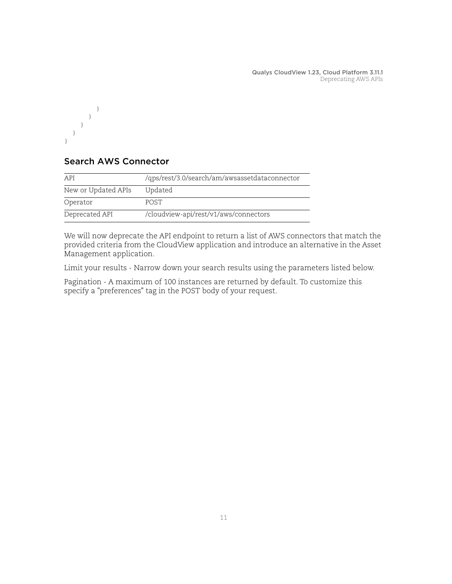

# <span id="page-10-0"></span>Search AWS Connector

| API                 | /qps/rest/3.0/search/am/awsassetdataconnector |
|---------------------|-----------------------------------------------|
| New or Updated APIs | Updated                                       |
| Operator            | <b>POST</b>                                   |
| Deprecated API      | /cloudview-api/rest/v1/aws/connectors         |

We will now deprecate the API endpoint to return a list of AWS connectors that match the provided criteria from the CloudView application and introduce an alternative in the Asset Management application.

Limit your results - Narrow down your search results using the parameters listed below.

Pagination - A maximum of 100 instances are returned by default. To customize this specify a "preferences" tag in the POST body of your request.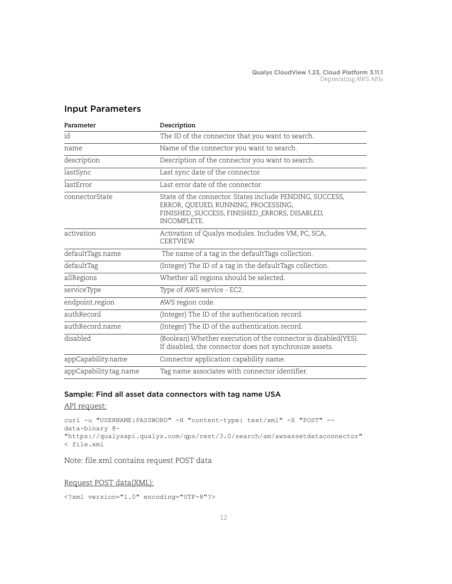| Parameter              | Description                                                                                                                                                           |
|------------------------|-----------------------------------------------------------------------------------------------------------------------------------------------------------------------|
| id                     | The ID of the connector that you want to search.                                                                                                                      |
| name                   | Name of the connector you want to search.                                                                                                                             |
| description            | Description of the connector you want to search.                                                                                                                      |
| lastSync               | Last sync date of the connector.                                                                                                                                      |
| lastError              | Last error date of the connector                                                                                                                                      |
| connectorState         | State of the connector. States include PENDING, SUCCESS,<br>ERROR, QUEUED, RUNNING, PROCESSING,<br>FINISHED_SUCCESS, FINISHED_ERRORS, DISABLED,<br><b>INCOMPLETE.</b> |
| activation             | Activation of Qualys modules. Includes VM, PC, SCA,<br><b>CERTVIEW</b>                                                                                                |
| defaultTags.name       | The name of a tag in the defaultTags collection.                                                                                                                      |
| defaultTag             | (Integer) The ID of a tag in the defaultTags collection.                                                                                                              |
| allRegions             | Whether all regions should be selected.                                                                                                                               |
| serviceType            | Type of AWS service - EC2.                                                                                                                                            |
| endpoint.region        | AWS region code.                                                                                                                                                      |
| authRecord             | (Integer) The ID of the authentication record.                                                                                                                        |
| authRecord.name        | (Integer) The ID of the authentication record.                                                                                                                        |
| disabled               | (Boolean) Whether execution of the connector is disabled(YES).<br>If disabled, the connector does not synchronize assets.                                             |
| appCapability.name     | Connector application capability name.                                                                                                                                |
| appCapability.tag.name | Tag name associates with connector identifier.                                                                                                                        |

### Input Parameters

### Sample: Find all asset data connectors with tag name USA

API request:

```
curl -u "USERNAME:PASSWORD" -H "content-type: text/xml" -X "POST" --
data-binary @-
"https://qualysapi.qualys.com/qps/rest/3.0/search/am/awsassetdataconnector"
< file.xml
```
Note: file.xml contains request POST data

### Request POST data(XML):

```
<?xml version="1.0" encoding="UTF-8"?>
```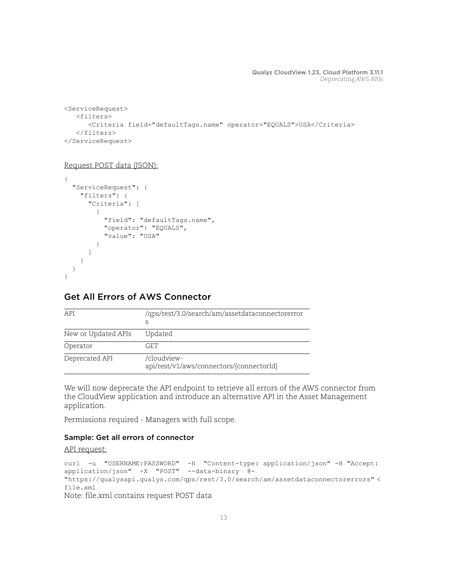```
<ServiceRequest>
    <filters>
       <Criteria field="defaultTags.name" operator="EQUALS">USA</Criteria>
    </filters>
</ServiceRequest>
```
#### Request POST data (JSON):

```
{
   "ServiceRequest": {
     "filters": {
        "Criteria": [
\overline{\mathcal{A}} "field": "defaultTags.name",
             "operator": "EQUALS",
             "value": "USA"
          }
        ]
     }
   }
}
```
# <span id="page-12-0"></span>Get All Errors of AWS Connector

| API                 | /qps/rest/3.0/search/am/assetdataconnectorerror<br>S    |
|---------------------|---------------------------------------------------------|
| New or Updated APIs | Updated                                                 |
| Operator            | GET.                                                    |
| Deprecated API      | /cloudview-<br>api/rest/v1/aws/connectors/{connectorId} |

We will now deprecate the API endpoint to retrieve all errors of the AWS connector from the CloudView application and introduce an alternative API in the Asset Management application.

Permissions required - Managers with full scope.

### Sample: Get all errors of connector

```
curl -u "USERNAME:PASSWORD" -H "Content-type: application/json" -H "Accept: 
application/json" -X "POST" --data-binary @- 
"https://qualysapi.qualys.com/qps/rest/3.0/search/am/assetdataconnectorerrors" < 
file.xml
Note: file.xml contains request POST data
```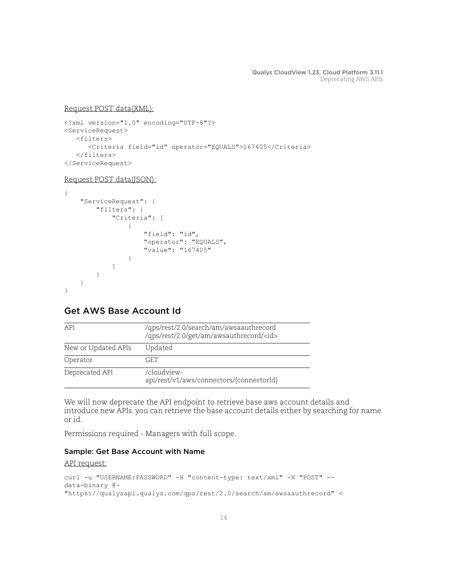### Request POST data(XML):

```
<?xml version="1.0" encoding="UTF-8"?>
<ServiceRequest>
    <filters>
       <Criteria field="id" operator="EQUALS">167405</Criteria>
    </filters>
</ServiceRequest>
```
### Request POST data(JSON):

```
{
    "ServiceRequest": {
        "filters": {
           "Criteria": [
{
                  "field": "id",
                  "operator": "EQUALS",
                  "value": "167405"
 }
[] [] [] [
       }
    }
}
```
# <span id="page-13-0"></span>Get AWS Base Account Id

| API                 | /qps/rest/2.0/search/am/awsaauthrecord<br>/qps/rest/2.0/get/am/awsauthrecord/ <id></id> |
|---------------------|-----------------------------------------------------------------------------------------|
| New or Updated APIs | Updated                                                                                 |
| Operator            | GET.                                                                                    |
| Deprecated API      | /cloudview-<br>api/rest/v1/aws/connectors/{connectorId}                                 |

We will now deprecate the API endpoint to retrieve base aws account details and introduce new APIs. you can retrieve the base account details either by searching for name or id.

Permissions required - Managers with full scope.

### Sample: Get Base Account with Name

```
curl -u "USERNAME:PASSWORD" -H "content-type: text/xml" -X "POST" --
data-binary @-
"https://qualysapi.qualys.com/qps/rest/2.0/search/am/awsaauthrecord" <
```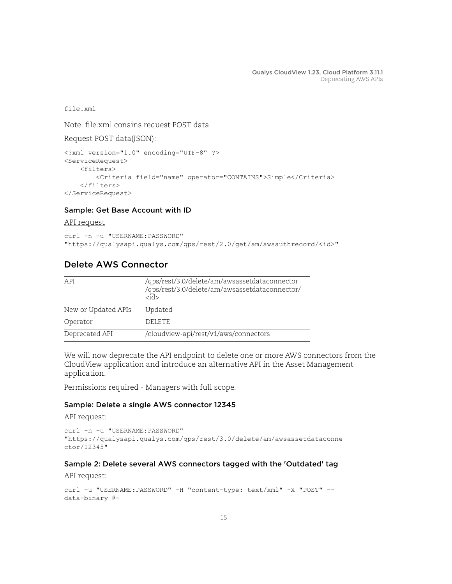file.xml

Note: file.xml conains request POST data

Request POST data(JSON):

```
<?xml version="1.0" encoding="UTF-8" ?>
<ServiceRequest>
     <filters>
         <Criteria field="name" operator="CONTAINS">Simple</Criteria>
     </filters>
</ServiceRequest>
```
### Sample: Get Base Account with ID

#### API request

```
curl -n -u "USERNAME:PASSWORD"
"https://qualysapi.qualys.com/qps/rest/2.0/get/am/awsauthrecord/<id>"
```
### <span id="page-14-0"></span>Delete AWS Connector

| API                 | /qps/rest/3.0/delete/am/awsassetdataconnector<br>/qps/rest/3.0/delete/am/awsassetdataconnector/<br><id></id> |
|---------------------|--------------------------------------------------------------------------------------------------------------|
| New or Updated APIs | Updated                                                                                                      |
| Operator            | DELETE.                                                                                                      |
| Deprecated API      | /cloudview-api/rest/v1/aws/connectors                                                                        |

We will now deprecate the API endpoint to delete one or more AWS connectors from the CloudView application and introduce an alternative API in the Asset Management application.

Permissions required - Managers with full scope.

### Sample: Delete a single AWS connector 12345

#### API request:

```
curl -n -u "USERNAME: PASSWORD"
"https://qualysapi.qualys.com/qps/rest/3.0/delete/am/awsassetdataconne
ctor/12345"
```
### Sample 2: Delete several AWS connectors tagged with the 'Outdated' tag

```
curl -u "USERNAME: PASSWORD" -H "content-type: text/xml" -X "POST" --
data-binary @-
```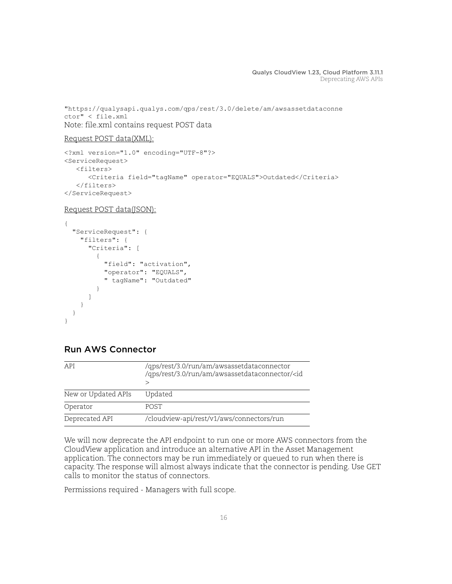"https://qualysapi.qualys.com/qps/rest/3.0/delete/am/awsassetdataconne ctor" < file.xml Note: file.xml contains request POST data

```
Request POST data(XML):
```

```
<?xml version="1.0" encoding="UTF-8"?>
<ServiceRequest>
    <filters>
       <Criteria field="tagName" operator="EQUALS">Outdated</Criteria>
    </filters>
</ServiceRequest>
```

```
Request POST data(JSON):
```

```
{
   "ServiceRequest": {
     "filters": {
        "Criteria": [
\overline{\mathcal{A}} "field": "activation",
             "operator": "EQUALS",
             " tagName": "Outdated"
          }
        ]
     }
   }
}
```
# <span id="page-15-0"></span>Run AWS Connector

| API                 | /qps/rest/3.0/run/am/awsassetdataconnector<br>/qps/rest/3.0/run/am/awsassetdataconnector/ <id< td=""></id<> |
|---------------------|-------------------------------------------------------------------------------------------------------------|
| New or Updated APIs | Updated                                                                                                     |
| Operator            | <b>POST</b>                                                                                                 |
| Deprecated API      | /cloudview-api/rest/v1/aws/connectors/run                                                                   |

We will now deprecate the API endpoint to run one or more AWS connectors from the CloudView application and introduce an alternative API in the Asset Management application. The connectors may be run immediately or queued to run when there is capacity. The response will almost always indicate that the connector is pending. Use GET calls to monitor the status of connectors.

Permissions required - Managers with full scope.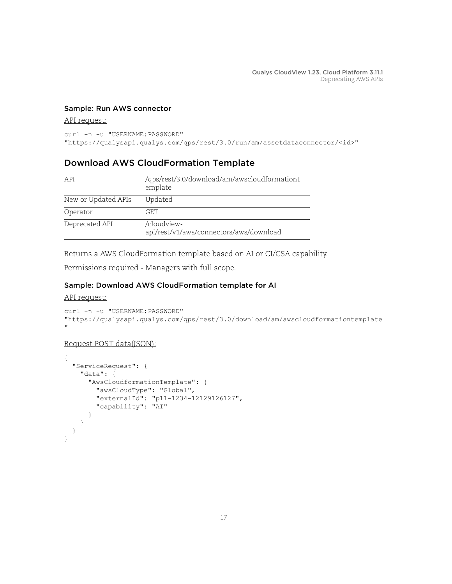### Sample: Run AWS connector

### API request:

curl -n -u "USERNAME: PASSWORD"

"https://qualysapi.qualys.com/qps/rest/3.0/run/am/assetdataconnector/<id>"

# <span id="page-16-0"></span>Download AWS CloudFormation Template

| API                 | /qps/rest/3.0/download/am/awscloudformationt<br>emplate |
|---------------------|---------------------------------------------------------|
| New or Updated APIs | Updated                                                 |
| Operator            | GET.                                                    |
| Deprecated API      | /cloudview-<br>api/rest/v1/aws/connectors/aws/download  |

Returns a AWS CloudFormation template based on AI or CI/CSA capability.

Permissions required - Managers with full scope.

### Sample: Download AWS CloudFormation template for AI

### API request:

```
curl -n -u "USERNAME: PASSWORD"
"https://qualysapi.qualys.com/qps/rest/3.0/download/am/awscloudformationtemplate
\mathbf{u}
```
### Request POST data(JSON):

```
{
   "ServiceRequest": {
     "data": {
       "AwsCloudformationTemplate": {
         "awsCloudType": "Global",
         "externalId": "p11-1234-12129126127",
         "capability": "AI"
       }
     }
   }
}
```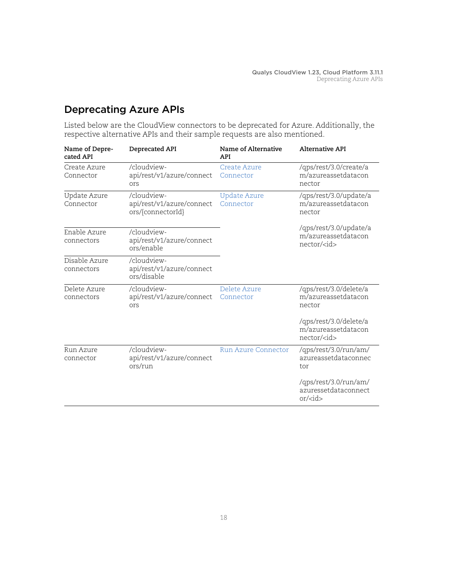# <span id="page-17-0"></span>Deprecating Azure APIs

Listed below are the CloudView connectors to be deprecated for Azure. Additionally, the respective alternative APIs and their sample requests are also mentioned.

| Name of Depre-<br>cated API | Deprecated API                                                | Name of Alternative<br><b>API</b> | <b>Alternative API</b>                                                       |
|-----------------------------|---------------------------------------------------------------|-----------------------------------|------------------------------------------------------------------------------|
| Create Azure<br>Connector   | /cloudview-<br>api/rest/v1/azure/connect<br>ors               | Create Azure<br>Connector         | /qps/rest/3.0/create/a<br>m/azureassetdatacon<br>nector                      |
| Update Azure<br>Connector   | /cloudview-<br>api/rest/v1/azure/connect<br>ors/{connectorId} | <b>Update Azure</b><br>Connector  | /qps/rest/3.0/update/a<br>m/azureassetdatacon<br>nector                      |
| Enable Azure<br>connectors  | /cloudview-<br>api/rest/v1/azure/connect<br>ors/enable        |                                   | /qps/rest/3.0/update/a<br>m/azureassetdatacon<br>nector/ <id></id>           |
| Disable Azure<br>connectors | /cloudview-<br>api/rest/v1/azure/connect<br>ors/disable       |                                   |                                                                              |
| Delete Azure<br>connectors  | /cloudview-<br>api/rest/v1/azure/connect<br>ors               | Delete Azure<br>Connector         | /qps/rest/3.0/delete/a<br>m/azureassetdatacon<br>nector                      |
|                             |                                                               |                                   | /qps/rest/3.0/delete/a<br>m/azureassetdatacon<br>$nector/\langle id \rangle$ |
| Run Azure<br>connector      | /cloudview-<br>api/rest/v1/azure/connect<br>ors/run           | <b>Run Azure Connector</b>        | /qps/rest/3.0/run/am/<br>azureassetdataconnec<br>tor                         |
|                             |                                                               |                                   | /qps/rest/3.0/run/am/<br>azuressetdataconnect<br>or/cid                      |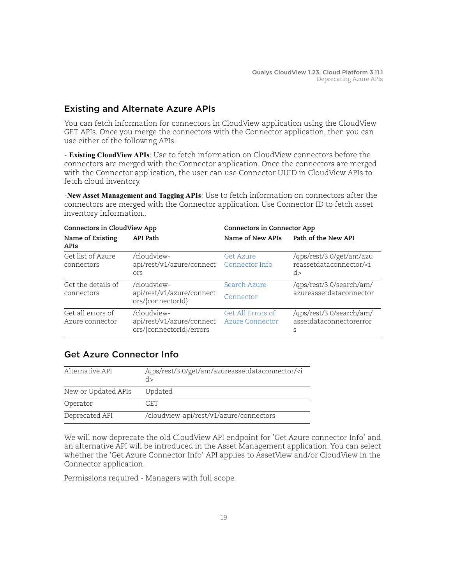# <span id="page-18-0"></span>Existing and Alternate Azure APIs

You can fetch information for connectors in CloudView application using the CloudView GET APIs. Once you merge the connectors with the Connector application, then you can use either of the following APIs:

- **Existing CloudView APIs**: Use to fetch information on CloudView connectors before the connectors are merged with the Connector application. Once the connectors are merged with the Connector application, the user can use Connector UUID in CloudView APIs to fetch cloud inventory.

-**New Asset Management and Tagging APIs**: Use to fetch information on connectors after the connectors are merged with the Connector application. Use Connector ID to fetch asset inventory information..

| Connectors in CloudView App          |                                                                       | Connectors in Connector App                 |                                                                      |
|--------------------------------------|-----------------------------------------------------------------------|---------------------------------------------|----------------------------------------------------------------------|
| Name of Existing<br>APIs             | API Path                                                              | Name of New APIs                            | Path of the New API                                                  |
| Get list of Azure<br>connectors      | /cloudview-<br>api/rest/v1/azure/connect Connector Info<br><b>Ors</b> | Get Azure                                   | /qps/rest/3.0/get/am/azu<br>reassetdataconnector/ <i<br>d&gt;</i<br> |
| Get the details of<br>connectors     | /cloudview-<br>api/rest/v1/azure/connect<br>ors/{connectorId}         | Search Azure<br>Connector                   | /qps/rest/3.0/search/am/<br>azureassetdataconnector                  |
| Get all errors of<br>Azure connector | /cloudview-<br>api/rest/v1/azure/connect<br>ors/{connectorId}/errors  | Get All Errors of<br><b>Azure Connector</b> | /qps/rest/3.0/search/am/<br>assetdataconnectorerror<br>S             |

# <span id="page-18-1"></span>Get Azure Connector Info

| Alternative API     | /qps/rest/3.0/get/am/azureassetdataconnector/ <i<br>d&gt;</i<br> |
|---------------------|------------------------------------------------------------------|
| New or Updated APIs | Updated                                                          |
| Operator            | GET.                                                             |
| Deprecated API      | /cloudview-api/rest/v1/azure/connectors                          |

We will now deprecate the old CloudView API endpoint for 'Get Azure connector Info' and an alternative API will be introduced in the Asset Management application. You can select whether the 'Get Azure Connector Info' API applies to AssetView and/or CloudView in the Connector application.

Permissions required - Managers with full scope.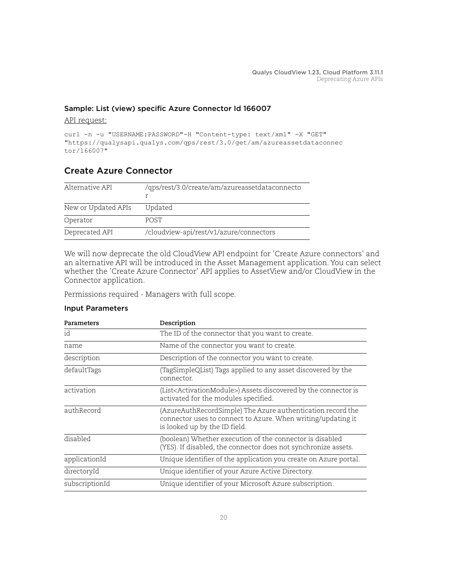### Sample: List (view) specific Azure Connector Id 166007

### API request:

```
curl -n -u "USERNAME:PASSWORD"-H "Content-type: text/xml" -X "GET"
"https://qualysapi.qualys.com/qps/rest/3.0/get/am/azureassetdataconnec 
tor/166007"
```
# <span id="page-19-0"></span>Create Azure Connector

| Alternative API     | /qps/rest/3.0/create/am/azureassetdataconnecto |
|---------------------|------------------------------------------------|
| New or Updated APIs | Updated                                        |
| Operator            | <b>POST</b>                                    |
| Deprecated API      | /cloudview-api/rest/v1/azure/connectors        |

We will now deprecate the old CloudView API endpoint for 'Create Azure connectors' and an alternative API will be introduced in the Asset Management application. You can select whether the 'Create Azure Connector' API applies to AssetView and/or CloudView in the Connector application.

Permissions required - Managers with full scope.

### Input Parameters

| Parameters     | Description                                                                                                                                                  |
|----------------|--------------------------------------------------------------------------------------------------------------------------------------------------------------|
| id             | The ID of the connector that you want to create.                                                                                                             |
| name           | Name of the connector you want to create.                                                                                                                    |
| description    | Description of the connector you want to create.                                                                                                             |
| defaultTags    | (TagSimpleQList) Tags applied to any asset discovered by the<br>connector.                                                                                   |
| activation     | (List <activationmodule>) Assets discovered by the connector is<br/>activated for the modules specified.</activationmodule>                                  |
| authRecord     | (AzureAuthRecordSimple) The Azure authentication record the<br>connector uses to connect to Azure. When writing/updating it<br>is looked up by the ID field. |
| disabled       | (boolean) Whether execution of the connector is disabled<br>(YES). If disabled, the connector does not synchronize assets.                                   |
| applicationId  | Unique identifier of the application you create on Azure portal.                                                                                             |
| directoryId    | Unique identifier of your Azure Active Directory.                                                                                                            |
| subscriptionId | Unique identifier of your Microsoft Azure subscription.                                                                                                      |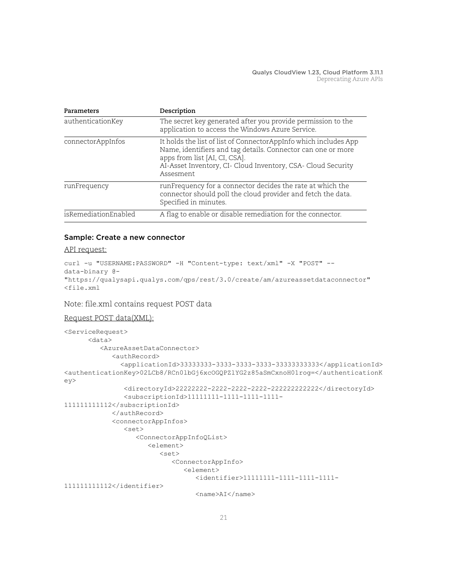| Parameters           | Description                                                                                                                                                                                                                                    |
|----------------------|------------------------------------------------------------------------------------------------------------------------------------------------------------------------------------------------------------------------------------------------|
| authenticationKey    | The secret key generated after you provide permission to the<br>application to access the Windows Azure Service.                                                                                                                               |
| connectorAppInfos    | It holds the list of list of ConnectorAppInfo which includes App<br>Name, identifiers and tag details. Connector can one or more<br>apps from list [AI, CI, CSA].<br>AI-Asset Inventory, CI- Cloud Inventory, CSA- Cloud Security<br>Assesment |
| runFrequency         | runFrequency for a connector decides the rate at which the<br>connector should poll the cloud provider and fetch the data.<br>Specified in minutes.                                                                                            |
| isRemediationEnabled | A flag to enable or disable remediation for the connector.                                                                                                                                                                                     |

### Sample: Create a new connector

#### API request:

```
curl -u "USERNAME: PASSWORD" -H "Content-type: text/xml" -X "POST" --
data-binary @-
"https://qualysapi.qualys.com/qps/rest/3.0/create/am/azureassetdataconnector" 
<file.xml
```
### Note: file.xml contains request POST data

#### Request POST data(XML):

```
<ServiceRequest>
       <data>
          <AzureAssetDataConnector>
             <authRecord>
                <applicationId>33333333-3333-3333-3333-33333333333</applicationId>
<authenticationKey>02LCb8/RCn0lbGj6xcOGQPZlYG2z85aSmCxnoH01rog=</authenticationK
ey>
                <directoryId>22222222-2222-2222-2222-222222222222</directoryId>
                <subscriptionId>11111111-1111-1111-1111-
111111111112</subscriptionId>
             </authRecord>
             <connectorAppInfos>
                <set>
                    <ConnectorAppInfoQList>
                       <element>
                          <set>
                             <ConnectorAppInfo>
                                <element>
                                   <identifier>11111111-1111-1111-1111-
111111111112</identifier>
                                   <name>AI</name>
```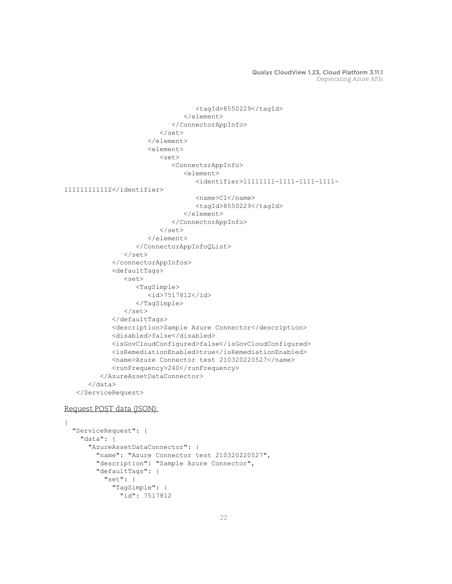```
 <tagId>8550229</tagId>
                                  </element>
                               </ConnectorAppInfo>
                           </set>
                        </element>
                        <element>
                          <set> <ConnectorAppInfo>
                                  <element>
                                     <identifier>11111111-1111-1111-1111-
111111111112</identifier>
                                     <name>CI</name>
                                     <tagId>8550229</tagId>
                                  </element>
                               </ConnectorAppInfo>
                          \langle/set\rangle </element>
                     </ConnectorAppInfoQList>
                \langle/set>
              </connectorAppInfos>
              <defaultTags>
                 <set>
                     <TagSimple>
                        <id>7517812</id>
                     </TagSimple>
                \langle/set>
              </defaultTags>
              <description>Sample Azure Connector</description>
              <disabled>false</disabled>
              <isGovCloudConfigured>false</isGovCloudConfigured>
              <isRemediationEnabled>true</isRemediationEnabled>
              <name>Azure Connector test 210320220527</name>
             <runFrequency>240</runFrequency>
           </AzureAssetDataConnector>
       </data>
    </ServiceRequest>
```
#### Request POST data (JSON):

```
{
   "ServiceRequest": {
     "data": {
       "AzureAssetDataConnector": {
         "name": "Azure Connector test 210320220527",
         "description": "Sample Azure Connector",
         "defaultTags": {
           "set": {
             "TagSimple": {
               "id": 7517812
```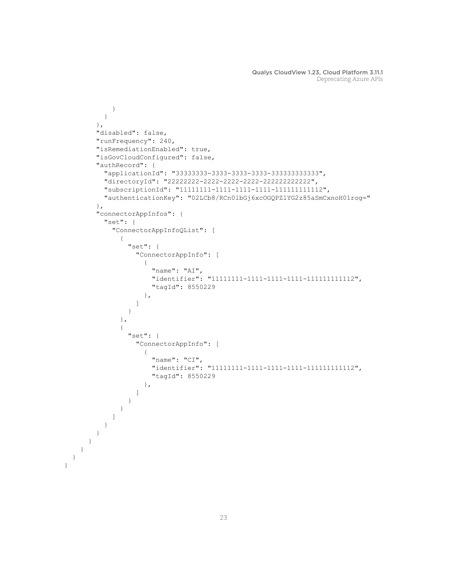```
 }
 }
          },
          "disabled": false,
          "runFrequency": 240,
          "isRemediationEnabled": true,
          "isGovCloudConfigured": false,
          "authRecord": {
            "applicationId": "33333333-3333-3333-3333-333333333333",
            "directoryId": "22222222-2222-2222-2222-222222222222",
            "subscriptionId": "11111111-1111-1111-1111-111111111112",
            "authenticationKey": "02LCb8/RCn0lbGj6xcOGQPZlYG2z85aSmCxnoH01rog="
          },
          "connectorAppInfos": {
            "set": {
              "ConnectorAppInfoQList": [
 {
                   "set": {
                     "ConnectorAppInfo": [
{
                          "name": "AI",
                          "identifier": "11111111-1111-1111-1111-111111111112",
                          "tagId": 8550229
\}, \}, \}, \}, \}, \}, \}, \}, \}, \}, \}, \}, \}, \}, \}, \}, \}, \}, \}, \}, \}, \}, \}, \}, \{, \}, \{, \}, \{, \}, \{, \}, \{, \}, \{, \}, \{,
 ]
 }
                },
 {
                   "set": {
                     "ConnectorAppInfo": [
{
                          "name": "CI",
                          "identifier": "11111111-1111-1111-1111-111111111112",
                          "tagId": 8550229
\}, \}, \}, \}, \}, \}, \}, \}, \}, \}, \}, \}, \}, \}, \}, \}, \}, \}, \}, \}, \}, \}, \}, \}, \{, \}, \{, \}, \{, \}, \{, \}, \{, \}, \{, \}, \{,
 ]
 }
 }
 ]
            }
         }
       }
    }
```
 } }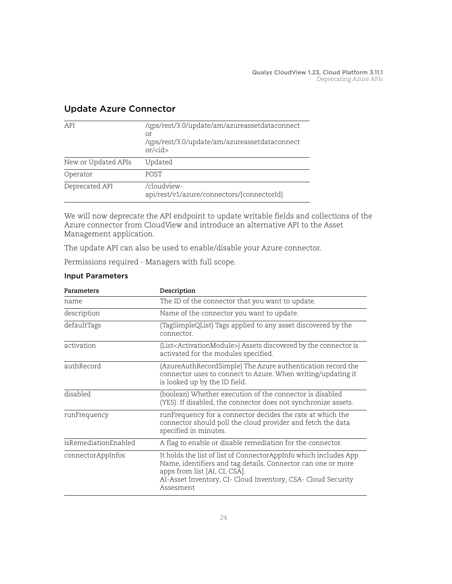| API                 | /qps/rest/3.0/update/am/azureassetdataconnect<br>Or<br>/qps/rest/3.0/update/am/azureassetdataconnect<br>$or$ /< $id$ > |
|---------------------|------------------------------------------------------------------------------------------------------------------------|
| New or Updated APIs | Updated                                                                                                                |
| Operator            | <b>POST</b>                                                                                                            |
| Deprecated API      | /cloudview-<br>api/rest/v1/azure/connectors/{connectorId}                                                              |

# <span id="page-23-0"></span>Update Azure Connector

We will now deprecate the API endpoint to update writable fields and collections of the Azure connector from CloudView and introduce an alternative API to the Asset Management application.

The update API can also be used to enable/disable your Azure connector.

Permissions required - Managers with full scope.

| Parameters           | Description                                                                                                                                                                                                                                    |
|----------------------|------------------------------------------------------------------------------------------------------------------------------------------------------------------------------------------------------------------------------------------------|
| name                 | The ID of the connector that you want to update.                                                                                                                                                                                               |
| description          | Name of the connector you want to update.                                                                                                                                                                                                      |
| defaultTags          | (TagSimpleQList) Tags applied to any asset discovered by the<br>connector.                                                                                                                                                                     |
| activation           | (List <activationmodule>) Assets discovered by the connector is<br/>activated for the modules specified.</activationmodule>                                                                                                                    |
| authRecord           | (AzureAuthRecordSimple) The Azure authentication record the<br>connector uses to connect to Azure. When writing/updating it<br>is looked up by the ID field.                                                                                   |
| disabled             | (boolean) Whether execution of the connector is disabled<br>(YES). If disabled, the connector does not synchronize assets.                                                                                                                     |
| runFrequency         | runFrequency for a connector decides the rate at which the<br>connector should poll the cloud provider and fetch the data<br>specified in minutes.                                                                                             |
| isRemediationEnabled | A flag to enable or disable remediation for the connector.                                                                                                                                                                                     |
| connectorAppInfos    | It holds the list of list of ConnectorAppInfo which includes App<br>Name, identifiers and tag details. Connector can one or more<br>apps from list [AI, CI, CSA].<br>AI-Asset Inventory, CI- Cloud Inventory, CSA- Cloud Security<br>Assesment |

### Input Parameters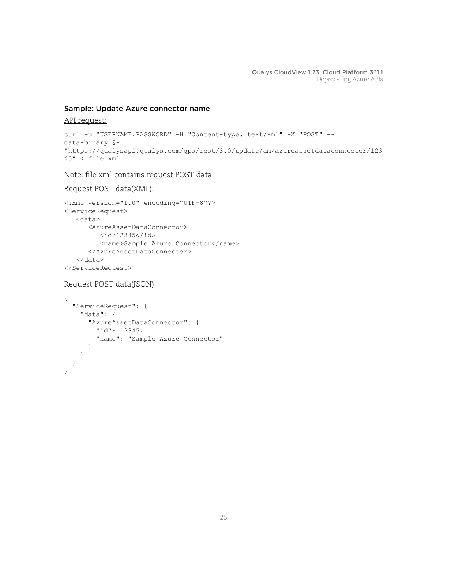### Sample: Update Azure connector name

#### API request:

```
curl -u "USERNAME:PASSWORD" -H "Content-type: text/xml" -X "POST" --
data-binary @-
"https://qualysapi.qualys.com/qps/rest/3.0/update/am/azureassetdataconnector/123
45" < file.xml
```
Note: file.xml contains request POST data

### Request POST data(XML):

```
<?xml version="1.0" encoding="UTF-8"?>
<ServiceRequest>
    <data>
       <AzureAssetDataConnector>
          <id>12345</id>
          <name>Sample Azure Connector</name>
       </AzureAssetDataConnector>
    </data>
</ServiceRequest>
```
### Request POST data(JSON):

```
{
   "ServiceRequest": {
     "data": {
       "AzureAssetDataConnector": {
         "id": 12345,
         "name": "Sample Azure Connector"
       }
     }
   }
}
```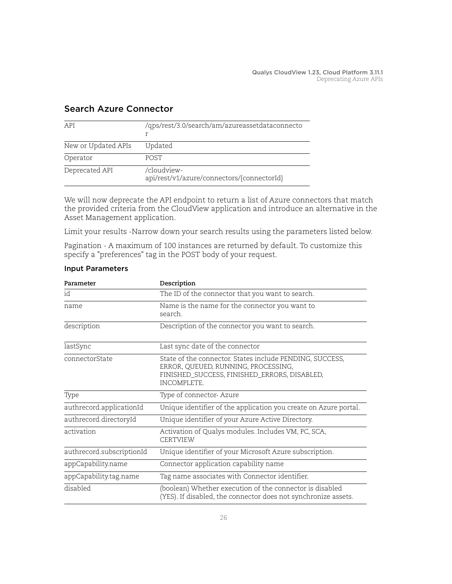| API                 | /qps/rest/3.0/search/am/azureassetdataconnecto            |
|---------------------|-----------------------------------------------------------|
| New or Updated APIs | Updated                                                   |
| Operator            | <b>POST</b>                                               |
| Deprecated API      | /cloudview-<br>api/rest/v1/azure/connectors/{connectorId} |

# <span id="page-25-0"></span>Search Azure Connector

We will now deprecate the API endpoint to return a list of Azure connectors that match the provided criteria from the CloudView application and introduce an alternative in the Asset Management application.

Limit your results -Narrow down your search results using the parameters listed below.

Pagination - A maximum of 100 instances are returned by default. To customize this specify a "preferences" tag in the POST body of your request.

| Parameter                 | Description                                                                                                                                                          |
|---------------------------|----------------------------------------------------------------------------------------------------------------------------------------------------------------------|
| id                        | The ID of the connector that you want to search.                                                                                                                     |
| name                      | Name is the name for the connector you want to<br>search.                                                                                                            |
| description               | Description of the connector you want to search.                                                                                                                     |
| lastSync                  | Last sync date of the connector                                                                                                                                      |
| connectorState            | State of the connector. States include PENDING, SUCCESS,<br>ERROR, QUEUED, RUNNING, PROCESSING,<br>FINISHED_SUCCESS, FINISHED_ERRORS, DISABLED,<br><b>INCOMPLETE</b> |
| Type                      | Type of connector-Azure                                                                                                                                              |
| authrecord.applicationId  | Unique identifier of the application you create on Azure portal.                                                                                                     |
| authrecord.directoryId    | Unique identifier of your Azure Active Directory.                                                                                                                    |
| activation                | Activation of Qualys modules. Includes VM, PC, SCA,<br><b>CERTVIEW</b>                                                                                               |
| authrecord.subscriptionId | Unique identifier of your Microsoft Azure subscription.                                                                                                              |
| appCapability.name        | Connector application capability name                                                                                                                                |
| appCapability.tag.name    | Tag name associates with Connector identifier.                                                                                                                       |
| disabled                  | (boolean) Whether execution of the connector is disabled<br>(YES). If disabled, the connector does not synchronize assets.                                           |

### Input Parameters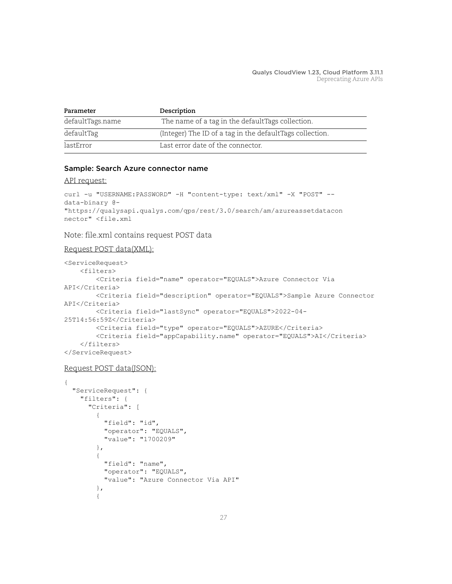| Parameter        | Description                                              |
|------------------|----------------------------------------------------------|
| defaultTags.name | The name of a tag in the defaultTags collection.         |
| defaultTag       | (Integer) The ID of a tag in the defaultTags collection. |
| lastError        | Last error date of the connector.                        |

### Sample: Search Azure connector name

#### API request:

```
curl -u "USERNAME:PASSWORD" -H "content-type: text/xml" -X "POST" --
data-binary @-
"https://qualysapi.qualys.com/qps/rest/3.0/search/am/azureassetdatacon
nector" <file.xml
```
### Note: file.xml contains request POST data

```
Request POST data(XML):
```

```
<ServiceRequest>
     <filters>
         <Criteria field="name" operator="EQUALS">Azure Connector Via 
API</Criteria>
         <Criteria field="description" operator="EQUALS">Sample Azure Connector 
API</Criteria>
         <Criteria field="lastSync" operator="EQUALS">2022-04-
25T14:56:59Z</Criteria>
         <Criteria field="type" operator="EQUALS">AZURE</Criteria>
         <Criteria field="appCapability.name" operator="EQUALS">AI</Criteria>
     </filters>
</ServiceRequest>
```

```
Request POST data(JSON):
```

```
{
   "ServiceRequest": {
     "filters": {
        "Criteria": [
\overline{\mathcal{A}} "field": "id",
             "operator": "EQUALS",
             "value": "1700209"
           },
\overline{\mathcal{A}} "field": "name",
             "operator": "EQUALS",
             "value": "Azure Connector Via API"
           },
\overline{\mathcal{A}}
```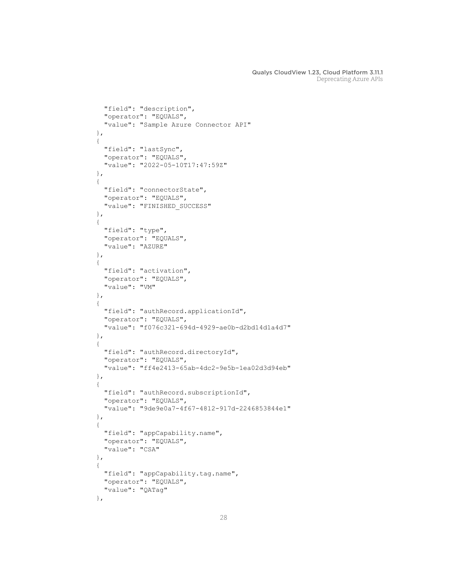```
 "field": "description",
            "operator": "EQUALS",
            "value": "Sample Azure Connector API"
          },
          {
            "field": "lastSync",
            "operator": "EQUALS",
            "value": "2022-05-10T17:47:59Z"
          },
\overline{\mathcal{A}} "field": "connectorState",
            "operator": "EQUALS",
            "value": "FINISHED_SUCCESS"
          },
\overline{\mathcal{A}} "field": "type",
            "operator": "EQUALS",
            "value": "AZURE"
          },
\overline{\mathcal{A}} "field": "activation",
            "operator": "EQUALS",
            "value": "VM"
          },
\overline{\mathcal{A}} "field": "authRecord.applicationId",
            "operator": "EQUALS",
            "value": "f076c321-694d-4929-ae0b-d2bd14d1a4d7"
          },
\overline{\mathcal{A}} "field": "authRecord.directoryId",
            "operator": "EQUALS",
            "value": "ff4e2413-65ab-4dc2-9e5b-1ea02d3d94eb"
          },
\overline{\mathcal{A}} "field": "authRecord.subscriptionId",
            "operator": "EQUALS",
            "value": "9de9e0a7-4f67-4812-917d-2246853844e1"
          },
\overline{\mathcal{A}} "field": "appCapability.name",
            "operator": "EQUALS",
            "value": "CSA"
          },
\overline{\mathcal{A}} "field": "appCapability.tag.name",
            "operator": "EQUALS",
            "value": "QATag"
          },
```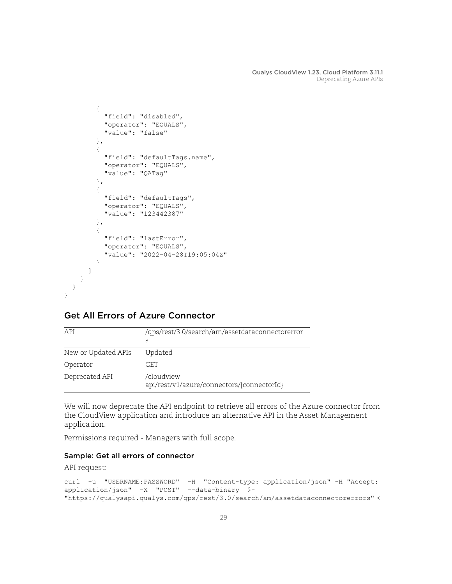```
\overline{\mathcal{A}} "field": "disabled",
             "operator": "EQUALS",
             "value": "false"
          },
\overline{\mathcal{A}} "field": "defaultTags.name",
             "operator": "EQUALS",
             "value": "QATag"
          },
\overline{\mathcal{A}} "field": "defaultTags",
             "operator": "EQUALS",
             "value": "123442387"
          },
\overline{\mathcal{A}} "field": "lastError",
             "operator": "EQUALS",
             "value": "2022-04-28T19:05:04Z"
          }
        ]
     }
```
# <span id="page-28-0"></span>Get All Errors of Azure Connector

| API                 | /qps/rest/3.0/search/am/assetdataconnectorerror<br>S      |
|---------------------|-----------------------------------------------------------|
| New or Updated APIs | Updated                                                   |
| Operator            | GET.                                                      |
| Deprecated API      | /cloudview-<br>api/rest/v1/azure/connectors/{connectorId} |

We will now deprecate the API endpoint to retrieve all errors of the Azure connector from the CloudView application and introduce an alternative API in the Asset Management application.

Permissions required - Managers with full scope.

### Sample: Get all errors of connector

### API request:

 } }

```
curl -u "USERNAME:PASSWORD" -H "Content-type: application/json" -H "Accept: 
application/json" -X "POST" --data-binary @- 
"https://qualysapi.qualys.com/qps/rest/3.0/search/am/assetdataconnectorerrors" <
```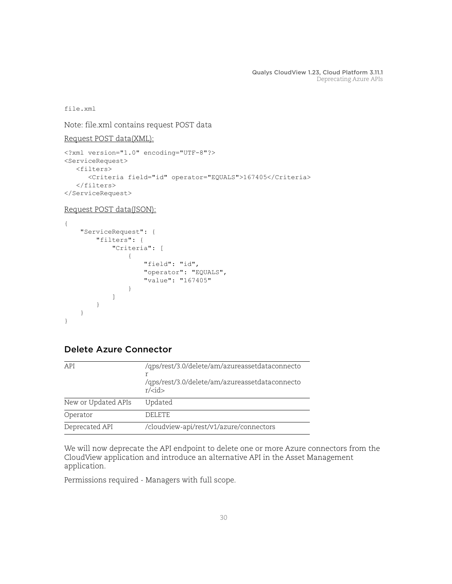file.xml

Note: file.xml contains request POST data

```
Request POST data(XML):
```

```
<?xml version="1.0" encoding="UTF-8"?>
<ServiceRequest>
    <filters>
       <Criteria field="id" operator="EQUALS">167405</Criteria>
    </filters>
</ServiceRequest>
```

```
Request POST data(JSON):
```

```
{
    "ServiceRequest": {
       "filters": {
           "Criteria": [
{
                  "field": "id",
                  "operator": "EQUALS",
                  "value": "167405"
 }
[] [] [] [
        }
    }
}
```
# <span id="page-29-0"></span>Delete Azure Connector

| /qps/rest/3.0/delete/am/azureassetdataconnecto<br>API<br>/qps/rest/3.0/delete/am/azureassetdataconnecto<br>$r$ / <id><br/>New or Updated APIs<br/>Updated<br/>Operator<br/><b>DELETE</b><br/>Deprecated API<br/>/cloudview-api/rest/v1/azure/connectors</id> |  |
|--------------------------------------------------------------------------------------------------------------------------------------------------------------------------------------------------------------------------------------------------------------|--|
|                                                                                                                                                                                                                                                              |  |
|                                                                                                                                                                                                                                                              |  |
|                                                                                                                                                                                                                                                              |  |
|                                                                                                                                                                                                                                                              |  |

We will now deprecate the API endpoint to delete one or more Azure connectors from the CloudView application and introduce an alternative API in the Asset Management application.

Permissions required - Managers with full scope.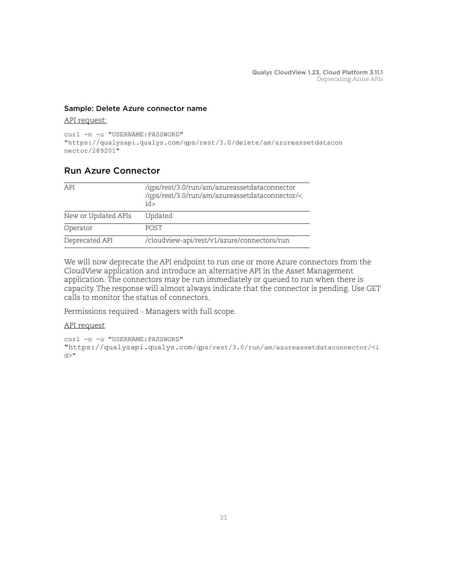### Sample: Delete Azure connector name

### API request:

```
curl -n -u "USERNAME: PASSWORD"
"https://qualysapi.qualys.com/qps/rest/3.0/delete/am/azureassetdatacon
nector/289201"
```
### <span id="page-30-0"></span>Run Azure Connector

| API                 | /qps/rest/3.0/run/am/azureassetdataconnector<br>/qps/rest/3.0/run/am/azureassetdataconnector/<<br>id> |
|---------------------|-------------------------------------------------------------------------------------------------------|
| New or Updated APIs | Updated                                                                                               |
| Operator            | <b>POST</b>                                                                                           |
| Deprecated API      | /cloudview-api/rest/v1/azure/connectors/run                                                           |

We will now deprecate the API endpoint to run one or more Azure connectors from the CloudView application and introduce an alternative API in the Asset Management application. The connectors may be run immediately or queued to run when there is capacity. The response will almost always indicate that the connector is pending. Use GET calls to monitor the status of connectors.

Permissions required - Managers with full scope.

```
curl -n -u "USERNAME:PASSWORD"
"https://qualysapi.qualys.com/qps/rest/3.0/run/am/azureassetdataconnector/<i
d > "
```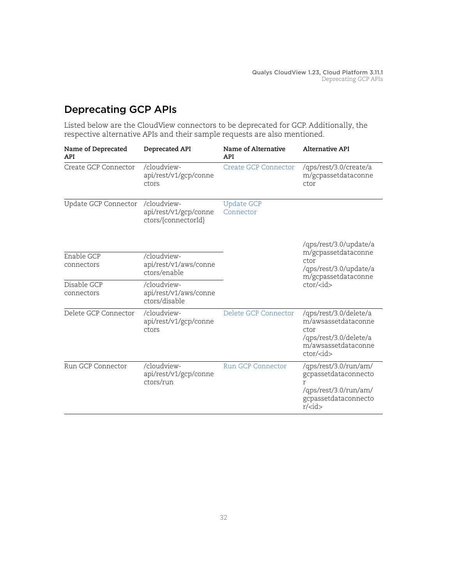# <span id="page-31-0"></span>Deprecating GCP APIs

Listed below are the CloudView connectors to be deprecated for GCP. Additionally, the respective alternative APIs and their sample requests are also mentioned.

| Name of Deprecated<br><b>API</b> | Deprecated API                                              | Name of Alternative<br><b>API</b> | <b>Alternative API</b>                                                                                                             |  |
|----------------------------------|-------------------------------------------------------------|-----------------------------------|------------------------------------------------------------------------------------------------------------------------------------|--|
| Create GCP Connector             | /cloudview-<br>api/rest/v1/gcp/conne<br>ctors               | Create GCP Connector              | /qps/rest/3.0/create/a<br>m/gcpassetdataconne<br>ctor                                                                              |  |
| Update GCP Connector             | /cloudview-<br>api/rest/v1/gcp/conne<br>ctors/{connectorId} | <b>Update GCP</b><br>Connector    |                                                                                                                                    |  |
|                                  |                                                             |                                   | /qps/rest/3.0/update/a<br>m/gcpassetdataconne                                                                                      |  |
| Enable GCP<br>connectors         | /cloudview-<br>api/rest/v1/aws/conne<br>ctors/enable        |                                   | ctor<br>/qps/rest/3.0/update/a<br>m/gcpassetdataconne                                                                              |  |
| Disable GCP<br>connectors        | /cloudview-<br>api/rest/v1/aws/conne<br>ctors/disable       |                                   | $ctor\rightleftharpoons$                                                                                                           |  |
| Delete GCP Connector             | /cloudview-<br>api/rest/v1/gcp/conne<br>ctors               | Delete GCP Connector              | /qps/rest/3.0/delete/a<br>m/awsassetdataconne<br>ctor<br>/qps/rest/3.0/delete/a<br>m/awsassetdataconne<br>$ctor\rightleftharpoons$ |  |
| Run GCP Connector                | /cloudview-<br>api/rest/v1/gcp/conne<br>ctors/run           | <b>Run GCP Connector</b>          | /qps/rest/3.0/run/am/<br>gcpassetdataconnecto<br>r<br>/qps/rest/3.0/run/am/<br>gcpassetdataconnecto<br>$r$ / <id></id>             |  |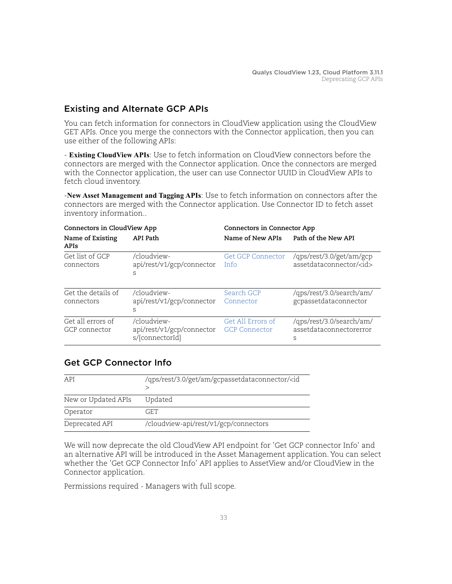# <span id="page-32-0"></span>Existing and Alternate GCP APIs

You can fetch information for connectors in CloudView application using the CloudView GET APIs. Once you merge the connectors with the Connector application, then you can use either of the following APIs:

- **Existing CloudView APIs**: Use to fetch information on CloudView connectors before the connectors are merged with the Connector application. Once the connectors are merged with the Connector application, the user can use Connector UUID in CloudView APIs to fetch cloud inventory.

-**New Asset Management and Tagging APIs**: Use to fetch information on connectors after the connectors are merged with the Connector application. Use Connector ID to fetch asset inventory information..

| Connectors in CloudView App        |                                                             | Connectors in Connector App               |                                                           |
|------------------------------------|-------------------------------------------------------------|-------------------------------------------|-----------------------------------------------------------|
| Name of Existing<br>APIs           | API Path                                                    | Name of New APIs                          | Path of the New API                                       |
| Get list of GCP<br>connectors      | /cloudview-<br>api/rest/v1/gcp/connector<br>S               | <b>Get GCP Connector</b><br>Info          | /qps/rest/3.0/get/am/gcp<br>assetdataconnector/ <id></id> |
| Get the details of<br>connectors   | /cloudview-<br>api/rest/v1/gcp/connector<br>S               | Search GCP<br>Connector                   | /qps/rest/3.0/search/am/<br>gcpassetdataconnector         |
| Get all errors of<br>GCP connector | /cloudview-<br>api/rest/v1/gcp/connector<br>s/{connectorId} | Get All Errors of<br><b>GCP Connector</b> | /qps/rest/3.0/search/am/<br>assetdataconnectorerror<br>S  |

# <span id="page-32-1"></span>Get GCP Connector Info

| API                 | /qps/rest/3.0/get/am/gcpassetdataconnector/ <id< th=""></id<> |
|---------------------|---------------------------------------------------------------|
| New or Updated APIs | Updated                                                       |
| Operator            | GET.                                                          |
| Deprecated API      | /cloudview-api/rest/v1/gcp/connectors                         |

We will now deprecate the old CloudView API endpoint for 'Get GCP connector Info' and an alternative API will be introduced in the Asset Management application. You can select whether the 'Get GCP Connector Info' API applies to AssetView and/or CloudView in the Connector application.

Permissions required - Managers with full scope.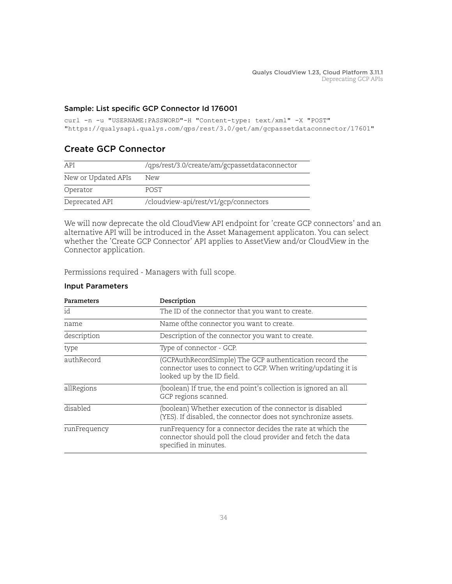### Sample: List specific GCP Connector Id 176001

```
curl -n -u "USERNAME:PASSWORD"-H "Content-type: text/xml" -X "POST" 
"https://qualysapi.qualys.com/qps/rest/3.0/get/am/gcpassetdataconnector/17601"
```
### <span id="page-33-0"></span>Create GCP Connector

| API                 | /qps/rest/3.0/create/am/gcpassetdataconnector |
|---------------------|-----------------------------------------------|
| New or Updated APIs | New                                           |
| Operator            | <b>POST</b>                                   |
| Deprecated API      | /cloudview-api/rest/v1/gcp/connectors         |

We will now deprecate the old CloudView API endpoint for 'create GCP connectors' and an alternative API will be introduced in the Asset Management applicaton. You can select whether the 'Create GCP Connector' API applies to AssetView and/or CloudView in the Connector application.

Permissions required - Managers with full scope.

### Input Parameters

| Parameters   | Description                                                                                                                                            |
|--------------|--------------------------------------------------------------------------------------------------------------------------------------------------------|
| id           | The ID of the connector that you want to create.                                                                                                       |
| name         | Name of the connector you want to create.                                                                                                              |
| description  | Description of the connector you want to create.                                                                                                       |
| type         | Type of connector - GCP.                                                                                                                               |
| authRecord   | (GCPAuthRecordSimple) The GCP authentication record the<br>connector uses to connect to GCP. When writing/updating it is<br>looked up by the ID field. |
| allRegions   | (boolean) If true, the end point's collection is ignored an all<br>GCP regions scanned.                                                                |
| disabled     | (boolean) Whether execution of the connector is disabled<br>(YES). If disabled, the connector does not synchronize assets.                             |
| runFrequency | runFrequency for a connector decides the rate at which the<br>connector should poll the cloud provider and fetch the data<br>specified in minutes.     |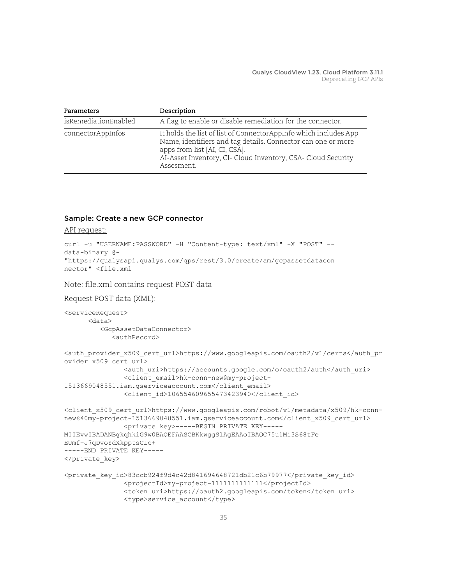| Parameters           | Description                                                                                                                                                                                                                                     |
|----------------------|-------------------------------------------------------------------------------------------------------------------------------------------------------------------------------------------------------------------------------------------------|
| isRemediationEnabled | A flag to enable or disable remediation for the connector.                                                                                                                                                                                      |
| connectorAppInfos    | It holds the list of list of ConnectorAppInfo which includes App<br>Name, identifiers and tag details. Connector can one or more<br>apps from list [AI, CI, CSA].<br>AI-Asset Inventory, CI- Cloud Inventory, CSA- Cloud Security<br>Assesment. |

### Sample: Create a new GCP connector

API request:

```
curl -u "USERNAME: PASSWORD" -H "Content-type: text/xml" -X "POST" --
data-binary @-
"https://qualysapi.qualys.com/qps/rest/3.0/create/am/gcpassetdatacon
nector" <file.xml
```
Note: file.xml contains request POST data

```
Request POST data (XML):
```

```
<ServiceRequest>
       <data>
          <GcpAssetDataConnector>
             <authRecord>
<auth_provider_x509_cert_url>https://www.googleapis.com/oauth2/v1/certs</auth_pr
ovider_x509_cert_url>
                <auth_uri>https://accounts.google.com/o/oauth2/auth</auth_uri>
                <client_email>hk-conn-new@my-project-
1513669048551.iam.gserviceaccount.com</client_email>
               <client_id>106554609655473423940</client_id>
<client_x509_cert_url>https://www.googleapis.com/robot/v1/metadata/x509/hk-conn-
new%40my-project-1513669048551.iam.gserviceaccount.com</client_x509_cert_url>
                <private_key>-----BEGIN PRIVATE KEY-----
MIIEvwIBADANBgkqhkiG9w0BAQEFAASCBKkwggSlAgEAAoIBAQC75u1Mi3S68tFe
EUmf+J7qDvoYdXkpptsCLc+ 
-----END PRIVATE KEY-----
</private_key>
<private_key_id>83ccb924f9d4c42d841694648721db21c6b79977</private_key_id>
                <projectId>my-project-1111111111111</projectId>
                <token_uri>https://oauth2.googleapis.com/token</token_uri>
                <type>service_account</type>
```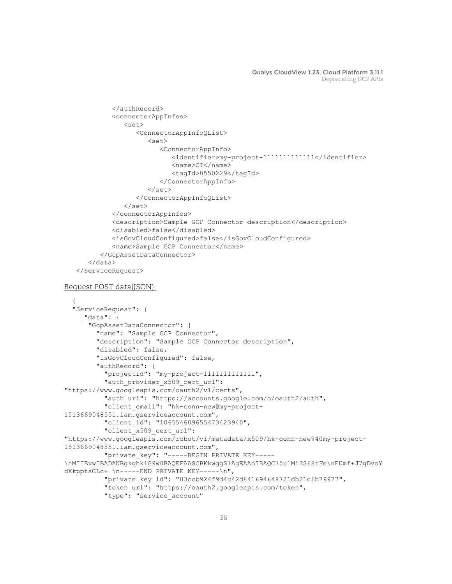```
 </authRecord>
             <connectorAppInfos>
                <set>
                    <ConnectorAppInfoQList>
                       <set>
                          <ConnectorAppInfo>
                             <identifier>my-project-1111111111111</identifier>
                             <name>CI</name>
                             <tagId>8550229</tagId>
                          </ConnectorAppInfo>
                      \langle/set\rangle </ConnectorAppInfoQList>
               \langle/set\rangle </connectorAppInfos>
             <description>Sample GCP Connector description</description>
             <disabled>false</disabled>
             <isGovCloudConfigured>false</isGovCloudConfigured>
             <name>Sample GCP Connector</name>
          </GcpAssetDataConnector>
       </data>
    </ServiceRequest>
Request POST data(JSON):
\{ "ServiceRequest": {
 _"data": {
 "GcpAssetDataConnector": {
         "name": "Sample GCP Connector",
         "description": "Sample GCP Connector description",
         "disabled": false,
         "isGovCloudConfigured": false,
         "authRecord": {
           "projectId": "my-project-1111111111111",
          "auth provider x509 cert url":
"https://www.googleapis.com/oauth2/v1/certs",
          "auth uri": "https://accounts.google.com/o/oauth2/auth",
          "client email": "hk-conn-new@my-project-
1513669048551.iam.gserviceaccount.com",
          "client id": "106554609655473423940",
          "client x509 cert url":
"https://www.googleapis.com/robot/v1/metadata/x509/hk-conn-new%40my-project-
1513669048551.iam.gserviceaccount.com",
          "private key": "-----BEGIN PRIVATE KEY-----
\nMIIEvwIBADANBgkqhkiG9w0BAQEFAASCBKkwggSlAgEAAoIBAQC75u1Mi3S68tFe\nEUmf+J7qDvoY
dXkpptsCLc+ \n-----END PRIVATE KEY-----\n",
           "private_key_id": "83ccb924f9d4c42d841694648721db21c6b79977",
          "token uri": "https://oauth2.googleapis.com/token",
          "type": "service account"
```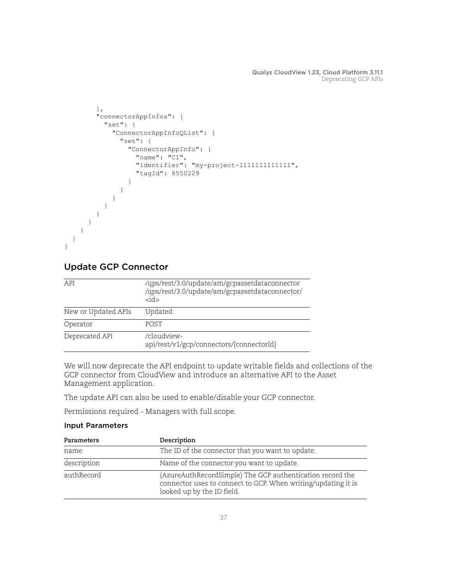```
 },
        "connectorAppInfos": {
          "set": {
           "ConnectorAppInfoQList": {
             "set": {
               "ConnectorAppInfo": {
                 "name": "CI",
                 "identifier": "my-project-1111111111111",
                 "tagId": 8550229
 }
 }
 }
 }
        }
      }
    }
  }
}
```
# <span id="page-36-0"></span>Update GCP Connector

| API                 | /qps/rest/3.0/update/am/gcpassetdataconnector<br>/qps/rest/3.0/update/am/gcpassetdataconnector/<br><id></id> |
|---------------------|--------------------------------------------------------------------------------------------------------------|
| New or Updated APIs | Updated                                                                                                      |
| Operator            | <b>POST</b>                                                                                                  |
| Deprecated API      | /cloudview-<br>api/rest/v1/gcp/connectors/{connectorId}                                                      |

We will now deprecate the API endpoint to update writable fields and collections of the GCP connector from CloudView and introduce an alternative API to the Asset Management application.

The update API can also be used to enable/disable your GCP connector.

Permissions required - Managers with full scope.

### Input Parameters

| Parameters  | Description                                                                                                                                              |
|-------------|----------------------------------------------------------------------------------------------------------------------------------------------------------|
| name        | The ID of the connector that you want to update.                                                                                                         |
| description | Name of the connector you want to update.                                                                                                                |
| authRecord  | (AzureAuthRecordSimple) The GCP authentication record the<br>connector uses to connect to GCP. When writing/updating it is<br>looked up by the ID field. |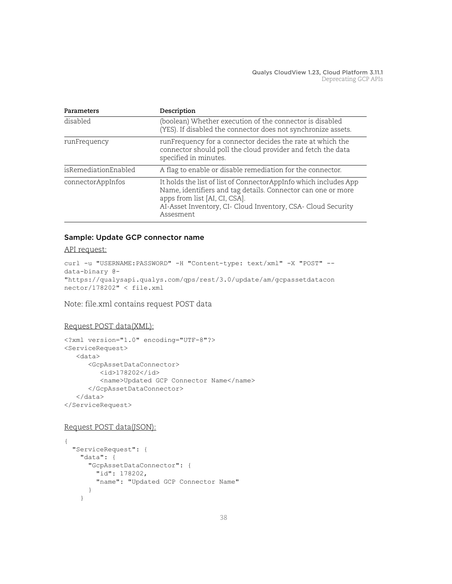| Parameters           | Description                                                                                                                                                                                                                                    |
|----------------------|------------------------------------------------------------------------------------------------------------------------------------------------------------------------------------------------------------------------------------------------|
| disabled             | (boolean) Whether execution of the connector is disabled<br>(YES). If disabled the connector does not synchronize assets.                                                                                                                      |
| runFrequency         | runFrequency for a connector decides the rate at which the<br>connector should poll the cloud provider and fetch the data<br>specified in minutes.                                                                                             |
| isRemediationEnabled | A flag to enable or disable remediation for the connector.                                                                                                                                                                                     |
| connectorAppInfos    | It holds the list of list of ConnectorAppInfo which includes App<br>Name, identifiers and tag details. Connector can one or more<br>apps from list [AI, CI, CSA].<br>AI-Asset Inventory, CI- Cloud Inventory, CSA- Cloud Security<br>Assesment |

### Sample: Update GCP connector name

#### API request:

```
curl -u "USERNAME: PASSWORD" -H "Content-type: text/xml" -X "POST" --
data-binary @-
"https://qualysapi.qualys.com/qps/rest/3.0/update/am/gcpassetdatacon
nector/178202" < file.xml
```
Note: file.xml contains request POST data

### Request POST data(XML):

```
<?xml version="1.0" encoding="UTF-8"?>
<ServiceRequest>
    <data>
       <GcpAssetDataConnector>
          <id>178202</id>
          <name>Updated GCP Connector Name</name>
       </GcpAssetDataConnector>
    </data>
</ServiceRequest>
```
#### Request POST data(JSON):

```
{
   "ServiceRequest": {
     "data": {
       "GcpAssetDataConnector": {
         "id": 178202,
         "name": "Updated GCP Connector Name"
       }
     }
```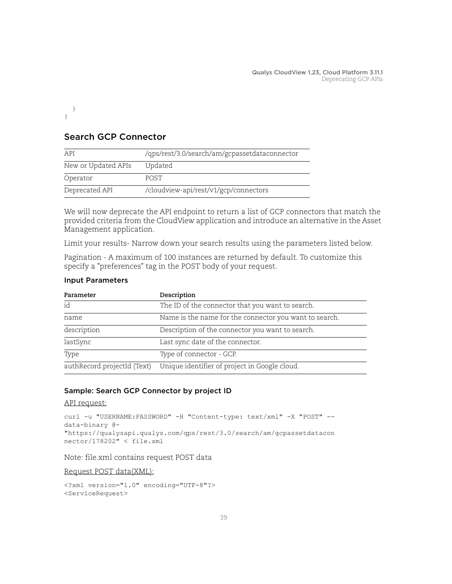} }

## <span id="page-38-0"></span>Search GCP Connector

| API                 | /qps/rest/3.0/search/am/gcpassetdataconnector |
|---------------------|-----------------------------------------------|
| New or Updated APIs | Updated                                       |
| Operator            | <b>POST</b>                                   |
| Deprecated API      | /cloudview-api/rest/v1/gcp/connectors         |

We will now deprecate the API endpoint to return a list of GCP connectors that match the provided criteria from the CloudView application and introduce an alternative in the Asset Management application.

Limit your results- Narrow down your search results using the parameters listed below.

Pagination - A maximum of 100 instances are returned by default. To customize this specify a "preferences" tag in the POST body of your request.

| Parameter                   | Description                                            |
|-----------------------------|--------------------------------------------------------|
| id                          | The ID of the connector that you want to search.       |
| name                        | Name is the name for the connector you want to search. |
| description                 | Description of the connector you want to search.       |
| lastSync                    | Last sync date of the connector.                       |
| Type                        | Type of connector - GCP.                               |
| authRecord.projectId (Text) | Unique identifier of project in Google cloud.          |

### Input Parameters

### Sample: Search GCP Connector by project ID

API request:

```
curl -u "USERNAME: PASSWORD" -H "Content-type: text/xml" -X "POST" --
data-binary @-
"https://qualysapi.qualys.com/qps/rest/3.0/search/am/gcpassetdatacon
nector/178202" < file.xml
```
Note: file.xml contains request POST data

Request POST data(XML):

```
<?xml version="1.0" encoding="UTF-8"?>
<ServiceRequest>
```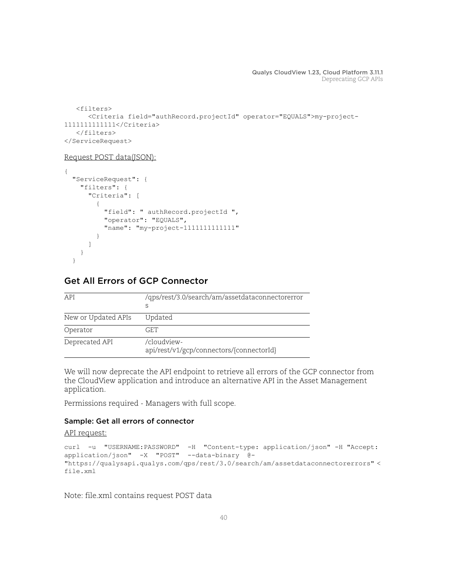```
 <filters>
       <Criteria field="authRecord.projectId" operator="EQUALS">my-project-
1111111111111</Criteria>
    </filters>
</ServiceRequest>
```
#### Request POST data(JSON):

```
{
   "ServiceRequest": {
     "filters": {
       "Criteria": [
\overline{\mathcal{A}} "field": " authRecord.projectId ",
            "operator": "EQUALS",
            "name": "my-project-1111111111111"
         }
       ]
     }
   }
```
### <span id="page-39-0"></span>Get All Errors of GCP Connector

| API                 | /qps/rest/3.0/search/am/assetdataconnectorerror<br>S    |
|---------------------|---------------------------------------------------------|
| New or Updated APIs | Updated                                                 |
| Operator            | GET.                                                    |
| Deprecated API      | /cloudview-<br>api/rest/v1/gcp/connectors/{connectorId} |

We will now deprecate the API endpoint to retrieve all errors of the GCP connector from the CloudView application and introduce an alternative API in the Asset Management application.

Permissions required - Managers with full scope.

### Sample: Get all errors of connector

### API request:

```
curl -u "USERNAME:PASSWORD" -H "Content-type: application/json" -H "Accept: 
application/json" -X "POST" --data-binary @- 
"https://qualysapi.qualys.com/qps/rest/3.0/search/am/assetdataconnectorerrors" < 
file.xml
```
Note: file.xml contains request POST data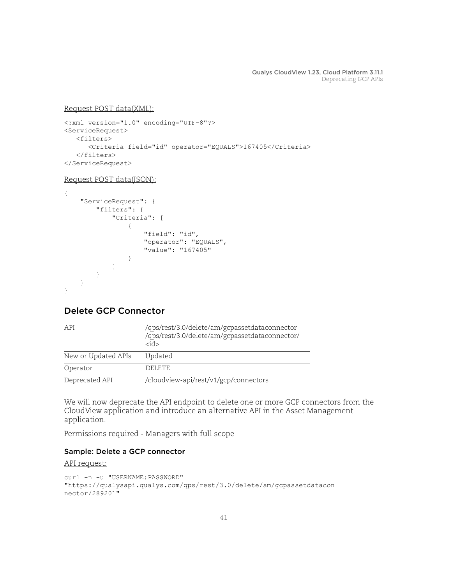### Request POST data(XML):

```
<?xml version="1.0" encoding="UTF-8"?>
<ServiceRequest>
    <filters>
       <Criteria field="id" operator="EQUALS">167405</Criteria>
    </filters>
</ServiceRequest>
```
### Request POST data(JSON):

```
{
    "ServiceRequest": {
       "filters": {
           "Criteria": [
 {
                  "field": "id",
                  "operator": "EQUALS",
                  "value": "167405"
 }
 ]
       }
    }
}
```
# <span id="page-40-0"></span>Delete GCP Connector

| API                 | /qps/rest/3.0/delete/am/gcpassetdataconnector<br>/qps/rest/3.0/delete/am/gcpassetdataconnector/<br>rid> |
|---------------------|---------------------------------------------------------------------------------------------------------|
| New or Updated APIs | Updated                                                                                                 |
| Operator            | DELETE.                                                                                                 |
| Deprecated API      | /cloudview-api/rest/v1/gcp/connectors                                                                   |

We will now deprecate the API endpoint to delete one or more GCP connectors from the CloudView application and introduce an alternative API in the Asset Management application.

Permissions required - Managers with full scope

### Sample: Delete a GCP connector

```
curl -n -u "USERNAME:PASSWORD"
"https://qualysapi.qualys.com/qps/rest/3.0/delete/am/gcpassetdatacon
nector/289201"
```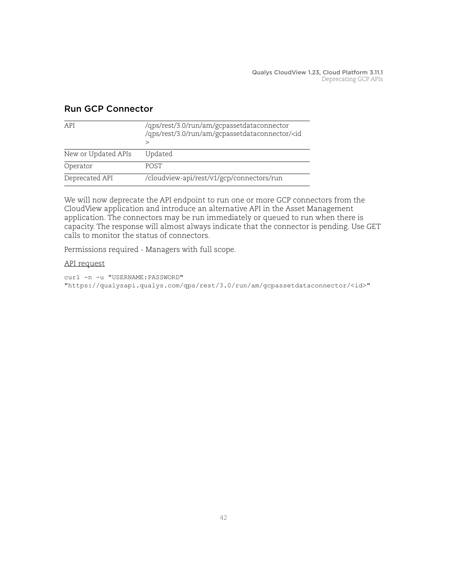| API                 | /qps/rest/3.0/run/am/gcpassetdataconnector<br>/qps/rest/3.0/run/am/gcpassetdataconnector/ <id< th=""></id<> |
|---------------------|-------------------------------------------------------------------------------------------------------------|
| New or Updated APIs | Updated                                                                                                     |
| Operator            | <b>POST</b>                                                                                                 |
| Deprecated API      | /cloudview-api/rest/v1/gcp/connectors/run                                                                   |

### <span id="page-41-0"></span>Run GCP Connector

We will now deprecate the API endpoint to run one or more GCP connectors from the CloudView application and introduce an alternative API in the Asset Management application. The connectors may be run immediately or queued to run when there is capacity. The response will almost always indicate that the connector is pending. Use GET calls to monitor the status of connectors.

Permissions required - Managers with full scope.

### API request

curl -n -u "USERNAME:PASSWORD" "https://qualysapi.qualys.com/qps/rest/3.0/run/am/gcpassetdataconnector/<id>"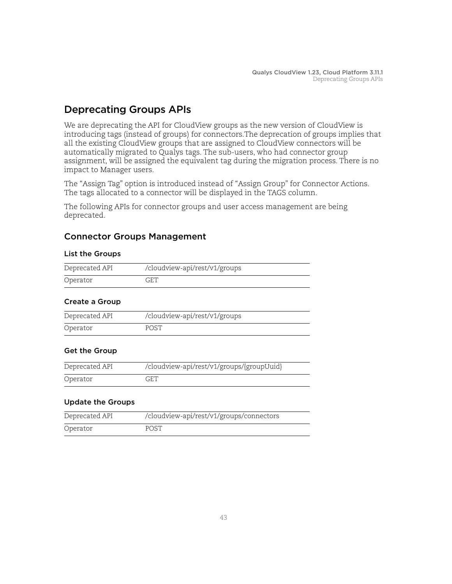# <span id="page-42-0"></span>Deprecating Groups APIs

We are deprecating the API for CloudView groups as the new version of CloudView is introducing tags (instead of groups) for connectors.The deprecation of groups implies that all the existing CloudView groups that are assigned to CloudView connectors will be automatically migrated to Qualys tags. The sub-users, who had connector group assignment, will be assigned the equivalent tag during the migration process. There is no impact to Manager users.

The "Assign Tag" option is introduced instead of "Assign Group" for Connector Actions. The tags allocated to a connector will be displayed in the TAGS column.

The following APIs for connector groups and user access management are being deprecated.

# Connector Groups Management

### List the Groups

| Deprecated API | /cloudview-api/rest/v1/groups |
|----------------|-------------------------------|
| Operator       | GET                           |

### Create a Group

| Deprecated API | /cloudview-api/rest/v1/groups |
|----------------|-------------------------------|
| Operator       | POST                          |

### Get the Group

| Deprecated API | /cloudview-api/rest/v1/groups/{groupUuid} |
|----------------|-------------------------------------------|
| Operator       | GET                                       |

### Update the Groups

| Deprecated API | /cloudview-api/rest/v1/groups/connectors |
|----------------|------------------------------------------|
| Operator       | POST                                     |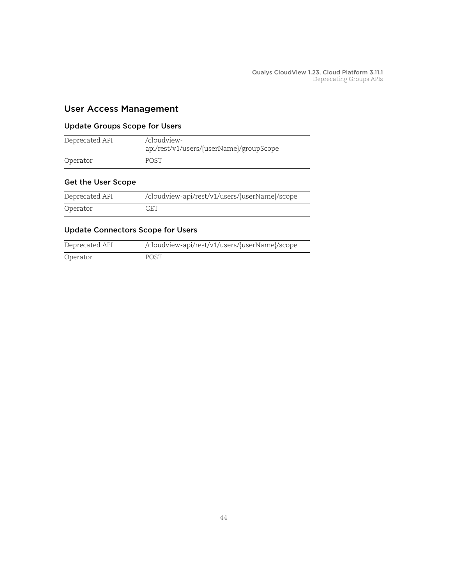### User Access Management

### Update Groups Scope for Users

| Deprecated API | /cloudview-<br>api/rest/v1/users/{userName}/groupScope |
|----------------|--------------------------------------------------------|
| Operator       | <b>POST</b>                                            |

### Get the User Scope

| Deprecated API | /cloudview-api/rest/v1/users/{userName}/scope |
|----------------|-----------------------------------------------|
| Operator       | GET                                           |

### Update Connectors Scope for Users

| Deprecated API | /cloudview-api/rest/v1/users/{userName}/scope |
|----------------|-----------------------------------------------|
| Operator       | <b>POST</b>                                   |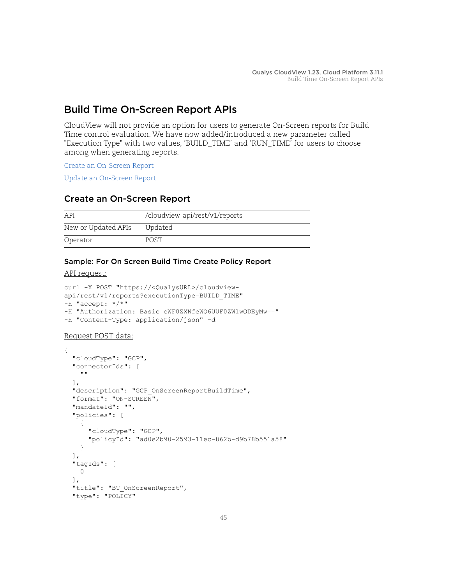# <span id="page-44-0"></span>Build Time On-Screen Report APIs

CloudView will not provide an option for users to generate On-Screen reports for Build Time control evaluation. We have now added/introduced a new parameter called "Execution Type" with two values, 'BUILD\_TIME' and 'RUN\_TIME' for users to choose among when generating reports.

[Create an On-Screen Report](#page-44-1)

[Update an On-Screen Report](#page-45-0)

### <span id="page-44-1"></span>Create an On-Screen Report

| API                 | /cloudview-api/rest/v1/reports |
|---------------------|--------------------------------|
| New or Updated APIs | Updated                        |
| Operator            | POST.                          |

### Sample: For On Screen Build Time Create Policy Report

#### API request:

```
curl -X POST "https://<QualysURL>/cloudview-
api/rest/v1/reports?executionType=BUILD_TIME" 
-H "accept: */*" 
-H "Authorization: Basic cWF0ZXNfeWQ6UUF0ZW1wQDEyMw==" 
-H "Content-Type: application/json" -d
```
### Request POST data:

```
{
  "cloudType": "GCP",
   "connectorIds": [
     ""
   ],
   "description": "GCP_OnScreenReportBuildTime",
   "format": "ON-SCREEN",
   "mandateId": "",
   "policies": [
     {
       "cloudType": "GCP",
       "policyId": "ad0e2b90-2593-11ec-862b-d9b78b551a58"
     }
   ],
   "tagIds": [
     0
   ],
   "title": "BT_OnScreenReport",
   "type": "POLICY"
```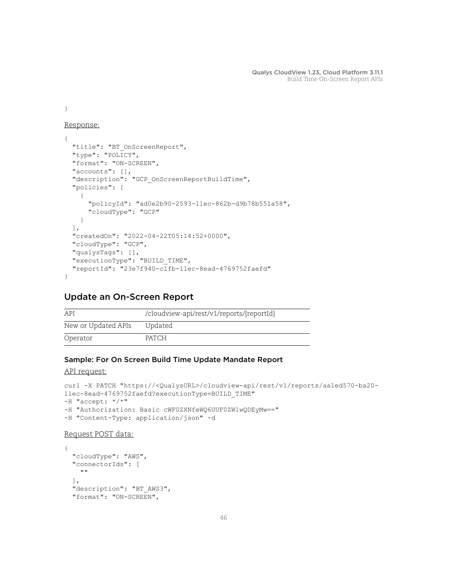}

### Response:

```
{
   "title": "BT_OnScreenReport",
  "type": "POLICY",
  "format": "ON-SCREEN",
  "accounts": [],
  "description": "GCP_OnScreenReportBuildTime",
   "policies": [
    {
       "policyId": "ad0e2b90-2593-11ec-862b-d9b78b551a58",
       "cloudType": "GCP"
    }
 \frac{1}{2} "createdOn": "2022-04-22T05:14:52+0000",
   "cloudType": "GCP",
   "qualysTags": [],
  "executionType": "BUILD_TIME",
  "reportId": "23e7f940-c1fb-11ec-8ead-4769752faefd"
}
```
### <span id="page-45-0"></span>Update an On-Screen Report

| <b>API</b>          | /cloudview-api/rest/v1/reports/{reportId} |
|---------------------|-------------------------------------------|
| New or Updated APIs | Updated                                   |
| Operator            | PATCH                                     |

### Sample: For On Screen Build Time Update Mandate Report

```
API request:
```
{

```
curl -X PATCH "https://<QualysURL>/cloudview-api/rest/v1/reports/aa1ed570-ba20-
11ec-8ead-4769752faefd?executionType=BUILD_TIME" 
-H "accept: */*" 
-H "Authorization: Basic cWF0ZXNfeWQ6UUF0ZW1wQDEyMw==" 
-H "Content-Type: application/json" -d
```
### Request POST data:

```
 "cloudType": "AWS",
 "connectorIds": [
  "\vert,
 "description": "BT_AWS3",
 "format": "ON-SCREEN",
```